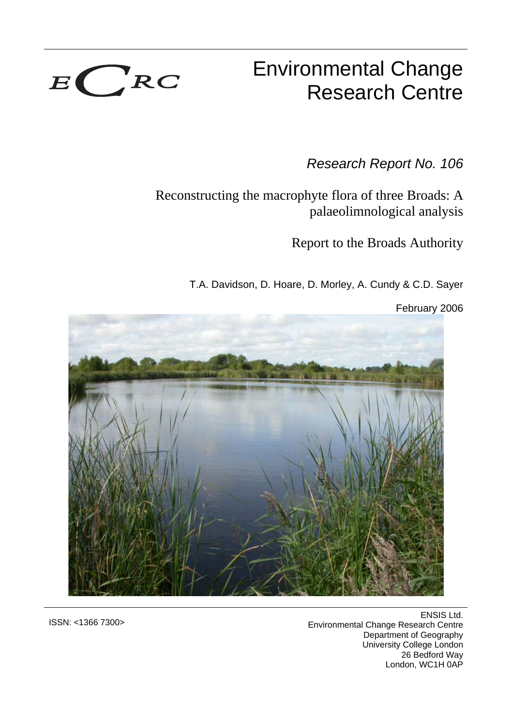

# Environmental Change Research Centre

*Research Report No. 106*

Reconstructing the macrophyte flora of three Broads: A palaeolimnological analysis

Report to the Broads Authority

T.A. Davidson, D. Hoare, D. Morley, A. Cundy & C.D. Sayer

February 2006



ENSIS Ltd. Environmental Change Research Centre Department of Geography University College London 26 Bedford Way London, WC1H 0AP

ISSN: <1366 7300>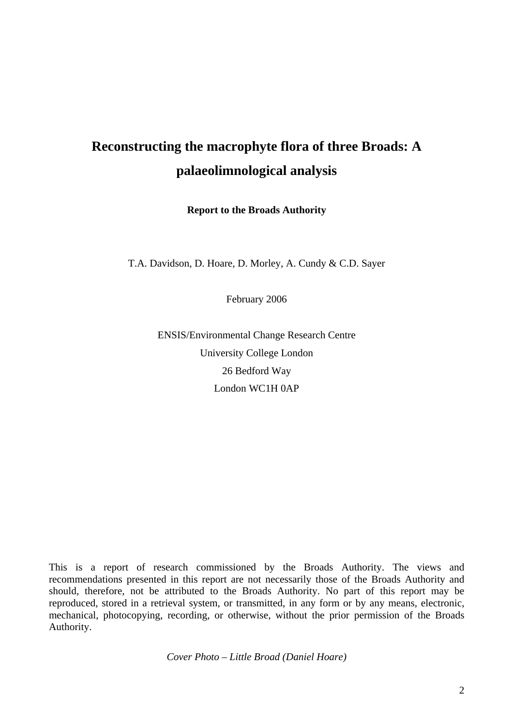## **Reconstructing the macrophyte flora of three Broads: A palaeolimnological analysis**

**Report to the Broads Authority** 

T.A. Davidson, D. Hoare, D. Morley, A. Cundy & C.D. Sayer

February 2006

ENSIS/Environmental Change Research Centre University College London 26 Bedford Way London WC1H 0AP

This is a report of research commissioned by the Broads Authority. The views and recommendations presented in this report are not necessarily those of the Broads Authority and should, therefore, not be attributed to the Broads Authority. No part of this report may be reproduced, stored in a retrieval system, or transmitted, in any form or by any means, electronic, mechanical, photocopying, recording, or otherwise, without the prior permission of the Broads Authority.

*Cover Photo – Little Broad (Daniel Hoare)*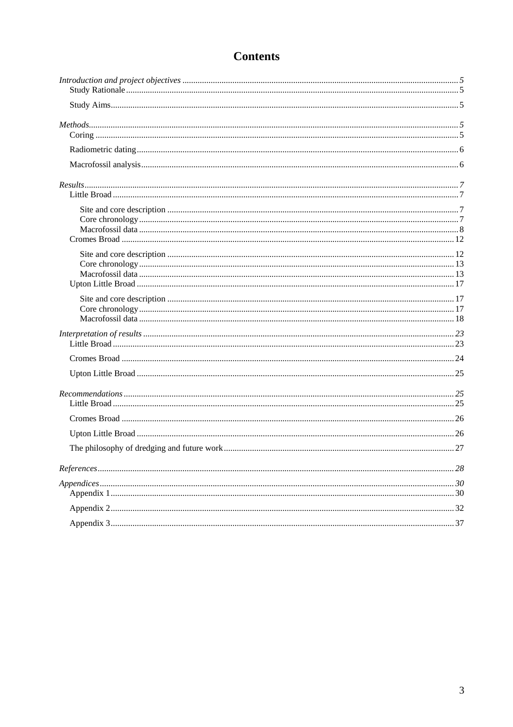## **Contents**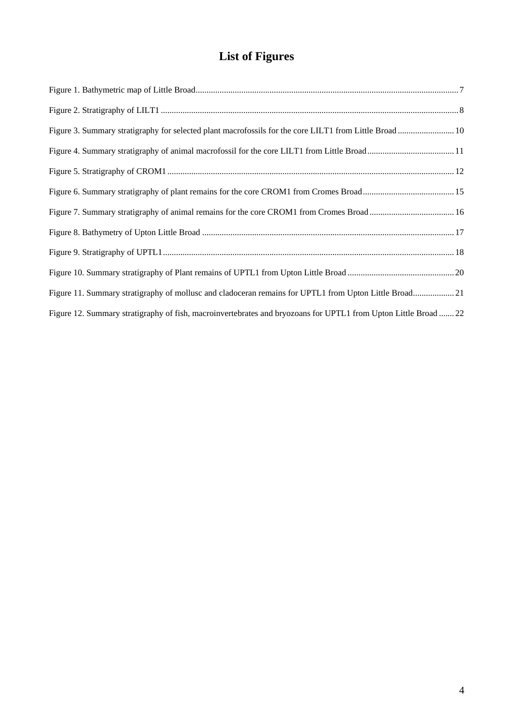## **List of Figures**

| Figure 3. Summary stratigraphy for selected plant macrofossils for the core LILT1 from Little Broad  10         |  |
|-----------------------------------------------------------------------------------------------------------------|--|
|                                                                                                                 |  |
|                                                                                                                 |  |
|                                                                                                                 |  |
| Figure 7. Summary stratigraphy of animal remains for the core CROM1 from Cromes Broad 16                        |  |
|                                                                                                                 |  |
|                                                                                                                 |  |
|                                                                                                                 |  |
| Figure 11. Summary stratigraphy of mollusc and cladoceran remains for UPTL1 from Upton Little Broad 21          |  |
| Figure 12. Summary stratigraphy of fish, macroinvertebrates and bryozoans for UPTL1 from Upton Little Broad  22 |  |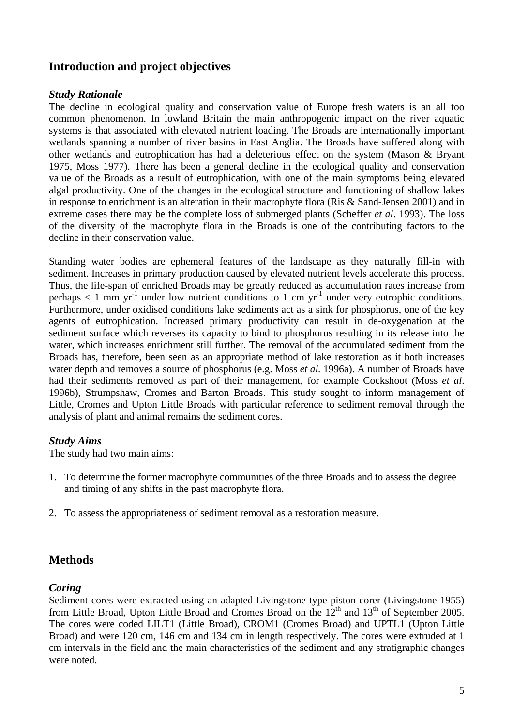## <span id="page-4-0"></span>**Introduction and project objectives**

## <span id="page-4-1"></span>*Study Rationale*

The decline in ecological quality and conservation value of Europe fresh waters is an all too common phenomenon. In lowland Britain the main anthropogenic impact on the river aquatic systems is that associated with elevated nutrient loading. The Broads are internationally important wetlands spanning a number of river basins in East Anglia. The Broads have suffered along with other wetlands and eutrophication has had a deleterious effect on the system (Mason & Bryant 1975, Moss 1977). There has been a general decline in the ecological quality and conservation value of the Broads as a result of eutrophication, with one of the main symptoms being elevated algal productivity. One of the changes in the ecological structure and functioning of shallow lakes in response to enrichment is an alteration in their macrophyte flora (Ris & Sand-Jensen 2001) and in extreme cases there may be the complete loss of submerged plants (Scheffer *et al*. 1993). The loss of the diversity of the macrophyte flora in the Broads is one of the contributing factors to the decline in their conservation value.

Standing water bodies are ephemeral features of the landscape as they naturally fill-in with sediment. Increases in primary production caused by elevated nutrient levels accelerate this process. Thus, the life-span of enriched Broads may be greatly reduced as accumulation rates increase from perhaps  $< 1$  mm yr<sup>-1</sup> under low nutrient conditions to 1 cm yr<sup>-1</sup> under very eutrophic conditions. Furthermore, under oxidised conditions lake sediments act as a sink for phosphorus, one of the key agents of eutrophication. Increased primary productivity can result in de-oxygenation at the sediment surface which reverses its capacity to bind to phosphorus resulting in its release into the water, which increases enrichment still further. The removal of the accumulated sediment from the Broads has, therefore, been seen as an appropriate method of lake restoration as it both increases water depth and removes a source of phosphorus (e.g. Moss *et al.* 1996a). A number of Broads have had their sediments removed as part of their management, for example Cockshoot (Moss *et al*. 1996b), Strumpshaw, Cromes and Barton Broads. This study sought to inform management of Little, Cromes and Upton Little Broads with particular reference to sediment removal through the analysis of plant and animal remains the sediment cores.

## <span id="page-4-2"></span>*Study Aims*

The study had two main aims:

- 1. To determine the former macrophyte communities of the three Broads and to assess the degree and timing of any shifts in the past macrophyte flora.
- 2. To assess the appropriateness of sediment removal as a restoration measure.

## <span id="page-4-3"></span>**Methods**

## <span id="page-4-4"></span>*Coring*

Sediment cores were extracted using an adapted Livingstone type piston corer (Livingstone 1955) from Little Broad, Upton Little Broad and Cromes Broad on the  $12<sup>th</sup>$  and  $13<sup>th</sup>$  of September 2005. The cores were coded LILT1 (Little Broad), CROM1 (Cromes Broad) and UPTL1 (Upton Little Broad) and were 120 cm, 146 cm and 134 cm in length respectively. The cores were extruded at 1 cm intervals in the field and the main characteristics of the sediment and any stratigraphic changes were noted.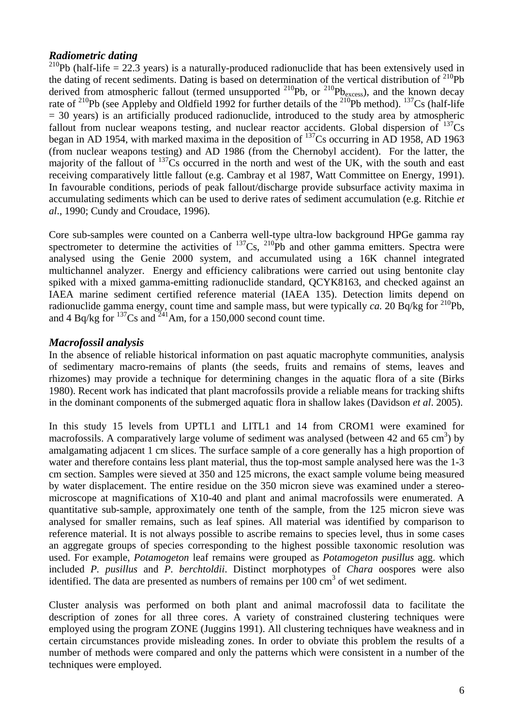## <span id="page-5-0"></span>*Radiometric dating*

<sup>210</sup>Pb (half-life = 22.3 years) is a naturally-produced radionuclide that has been extensively used in the dating of recent sediments. Dating is based on determination of the vertical distribution of  $^{210}Pb$ derived from atmospheric fallout (termed unsupported  $^{210}Pb$ , or  $^{210}Pb_{excess}$ ), and the known decay rate of  $^{210}$ Pb (see Appleby and Oldfield 1992 for further details of the  $^{210}$ Pb method).  $^{137}$ Cs (half-life  $=$  30 years) is an artificially produced radionuclide, introduced to the study area by atmospheric fallout from nuclear weapons testing, and nuclear reactor accidents. Global dispersion of  $^{137}Cs$ began in AD 1954, with marked maxima in the deposition of  $^{137}$ Cs occurring in AD 1958, AD 1963 (from nuclear weapons testing) and AD 1986 (from the Chernobyl accident). For the latter, the majority of the fallout of <sup>137</sup>Cs occurred in the north and west of the UK, with the south and east receiving comparatively little fallout (e.g. Cambray et al 1987, Watt Committee on Energy, 1991). In favourable conditions, periods of peak fallout/discharge provide subsurface activity maxima in accumulating sediments which can be used to derive rates of sediment accumulation (e.g. Ritchie *et al*., 1990; Cundy and Croudace, 1996).

Core sub-samples were counted on a Canberra well-type ultra-low background HPGe gamma ray spectrometer to determine the activities of  $^{137}Cs$ ,  $^{210}Pb$  and other gamma emitters. Spectra were analysed using the Genie 2000 system, and accumulated using a 16K channel integrated multichannel analyzer. Energy and efficiency calibrations were carried out using bentonite clay spiked with a mixed gamma-emitting radionuclide standard, QCYK8163, and checked against an IAEA marine sediment certified reference material (IAEA 135). Detection limits depend on radionuclide gamma energy, count time and sample mass, but were typically *ca*. 20 Bq/kg for <sup>210</sup>Pb, and 4 Bq/kg for  $^{137}$ Cs and  $^{241}$ Am, for a 150,000 second count time.

## <span id="page-5-1"></span>*Macrofossil analysis*

In the absence of reliable historical information on past aquatic macrophyte communities, analysis of sedimentary macro-remains of plants (the seeds, fruits and remains of stems, leaves and rhizomes) may provide a technique for determining changes in the aquatic flora of a site (Birks 1980). Recent work has indicated that plant macrofossils provide a reliable means for tracking shifts in the dominant components of the submerged aquatic flora in shallow lakes (Davidson *et al*. 2005).

In this study 15 levels from UPTL1 and LITL1 and 14 from CROM1 were examined for macrofossils. A comparatively large volume of sediment was analysed (between 42 and 65 cm<sup>3</sup>) by amalgamating adjacent 1 cm slices. The surface sample of a core generally has a high proportion of water and therefore contains less plant material, thus the top-most sample analysed here was the 1-3 cm section. Samples were sieved at 350 and 125 microns, the exact sample volume being measured by water displacement. The entire residue on the 350 micron sieve was examined under a stereomicroscope at magnifications of X10-40 and plant and animal macrofossils were enumerated. A quantitative sub-sample, approximately one tenth of the sample, from the 125 micron sieve was analysed for smaller remains, such as leaf spines. All material was identified by comparison to reference material. It is not always possible to ascribe remains to species level, thus in some cases an aggregate groups of species corresponding to the highest possible taxonomic resolution was used. For example, *Potamogeton* leaf remains were grouped as *Potamogeton pusillus* agg. which included *P. pusillus* and *P. berchtoldii*. Distinct morphotypes of *Chara* oospores were also identified. The data are presented as numbers of remains per  $100 \text{ cm}^3$  of wet sediment.

Cluster analysis was performed on both plant and animal macrofossil data to facilitate the description of zones for all three cores. A variety of constrained clustering techniques were employed using the program ZONE (Juggins 1991). All clustering techniques have weakness and in certain circumstances provide misleading zones. In order to obviate this problem the results of a number of methods were compared and only the patterns which were consistent in a number of the techniques were employed.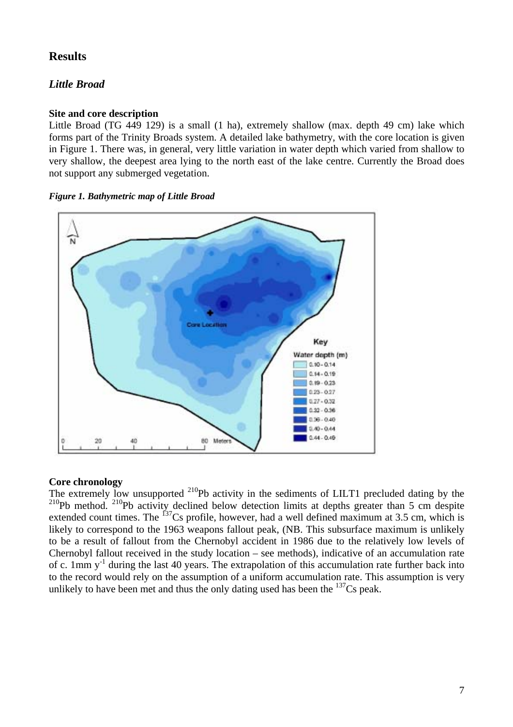## <span id="page-6-0"></span>**Results**

## <span id="page-6-1"></span>*Little Broad*

#### <span id="page-6-2"></span>**Site and core description**

Little Broad (TG 449 129) is a small (1 ha), extremely shallow (max. depth 49 cm) lake which forms part of the Trinity Broads system. A detailed lake bathymetry, with the core location is given in Figure 1. There was, in general, very little variation in water depth which varied from shallow to very shallow, the deepest area lying to the north east of the lake centre. Currently the Broad does not support any submerged vegetation.

#### <span id="page-6-4"></span>*Figure 1. Bathymetric map of Little Broad*



#### <span id="page-6-3"></span>**Core chronology**

The extremely low unsupported <sup>210</sup>Pb activity in the sediments of LILT1 precluded dating by the  $2^{10}$ Pb method.  $2^{10}$ Pb activity declined below detection limits at depths greater than 5 cm despite extended count times. The  $^{137}Cs$  profile, however, had a well defined maximum at 3.5 cm, which is likely to correspond to the 1963 weapons fallout peak, (NB. This subsurface maximum is unlikely to be a result of fallout from the Chernobyl accident in 1986 due to the relatively low levels of Chernobyl fallout received in the study location – see methods), indicative of an accumulation rate of c. 1mm  $y^{-1}$  during the last 40 years. The extrapolation of this accumulation rate further back into to the record would rely on the assumption of a uniform accumulation rate. This assumption is very unlikely to have been met and thus the only dating used has been the  $137Cs$  peak.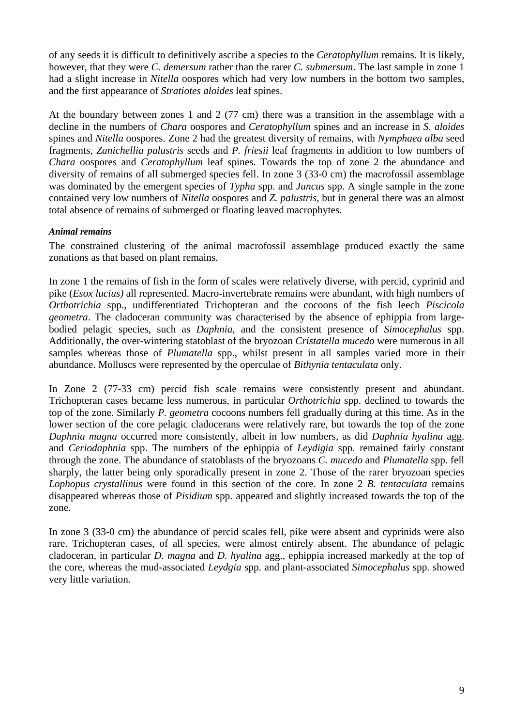of any seeds it is difficult to definitively ascribe a species to the *Ceratophyllum* remains. It is likely, however, that they were *C. demersum* rather than the rarer *C. submersum*. The last sample in zone 1 had a slight increase in *Nitella* oospores which had very low numbers in the bottom two samples, and the first appearance of *Stratiotes aloides* leaf spines.

At the boundary between zones 1 and 2 (77 cm) there was a transition in the assemblage with a decline in the numbers of *Chara* oospores and *Ceratophyllum* spines and an increase in *S. aloides* spines and *Nitella* oospores. Zone 2 had the greatest diversity of remains, with *Nymphaea alba* seed fragments, *Zanichellia palustris* seeds and *P. friesii* leaf fragments in addition to low numbers of *Chara* oospores and *Ceratophyllum* leaf spines. Towards the top of zone 2 the abundance and diversity of remains of all submerged species fell. In zone 3 (33-0 cm) the macrofossil assemblage was dominated by the emergent species of *Typha* spp. and *Juncus* spp. A single sample in the zone contained very low numbers of *Nitella* oospores and *Z. palustris*, but in general there was an almost total absence of remains of submerged or floating leaved macrophytes.

## *Animal remains*

The constrained clustering of the animal macrofossil assemblage produced exactly the same zonations as that based on plant remains.

In zone 1 the remains of fish in the form of scales were relatively diverse, with percid, cyprinid and pike (*Esox lucius)* all represented. Macro-invertebrate remains were abundant, with high numbers of *Orthotrichia* spp., undifferentiated Trichopteran and the cocoons of the fish leech *Piscicola geometra*. The cladoceran community was characterised by the absence of ephippia from largebodied pelagic species, such as *Daphnia*, and the consistent presence of *Simocephalus* spp. Additionally, the over-wintering statoblast of the bryozoan *Cristatella mucedo* were numerous in all samples whereas those of *Plumatella* spp., whilst present in all samples varied more in their abundance. Molluscs were represented by the operculae of *Bithynia tentaculata* only.

In Zone 2 (77-33 cm) percid fish scale remains were consistently present and abundant. Trichopteran cases became less numerous, in particular *Orthotrichia* spp. declined to towards the top of the zone. Similarly *P. geometra* cocoons numbers fell gradually during at this time. As in the lower section of the core pelagic cladocerans were relatively rare, but towards the top of the zone *Daphnia magna* occurred more consistently, albeit in low numbers, as did *Daphnia hyalina* agg. and *Ceriodaphnia* spp. The numbers of the ephippia of *Leydigia* spp. remained fairly constant through the zone. The abundance of statoblasts of the bryozoans *C. mucedo* and *Plumatella* spp. fell sharply, the latter being only sporadically present in zone 2. Those of the rarer bryozoan species *Lophopus crystallinus* were found in this section of the core. In zone 2 *B. tentaculata* remains disappeared whereas those of *Pisidium* spp. appeared and slightly increased towards the top of the zone.

In zone 3 (33-0 cm) the abundance of percid scales fell, pike were absent and cyprinids were also rare. Trichopteran cases, of all species, were almost entirely absent. The abundance of pelagic cladoceran, in particular *D. magna* and *D. hyalina* agg., ephippia increased markedly at the top of the core, whereas the mud-associated *Leydgia* spp. and plant-associated *Simocephalus* spp. showed very little variation.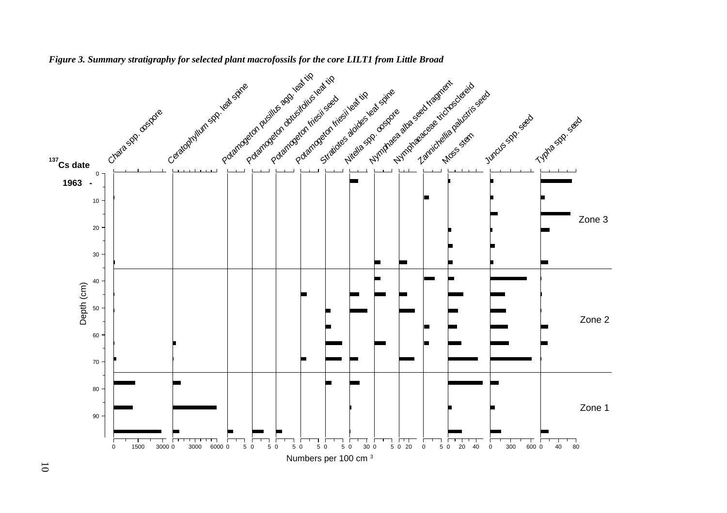<span id="page-8-0"></span>

*Figure 3. Summary stratigraphy for selected plant macrofossils for the core LILT1 from Little Broad*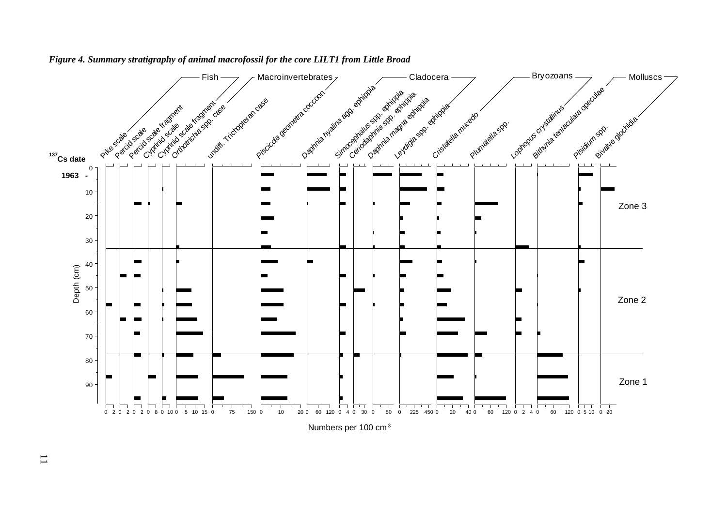

#### *Figure 4. Summary stratigraphy of animal macrofossil for the core LILT1 from Little Broad*

Numbers per 100 cm3

<span id="page-9-0"></span>11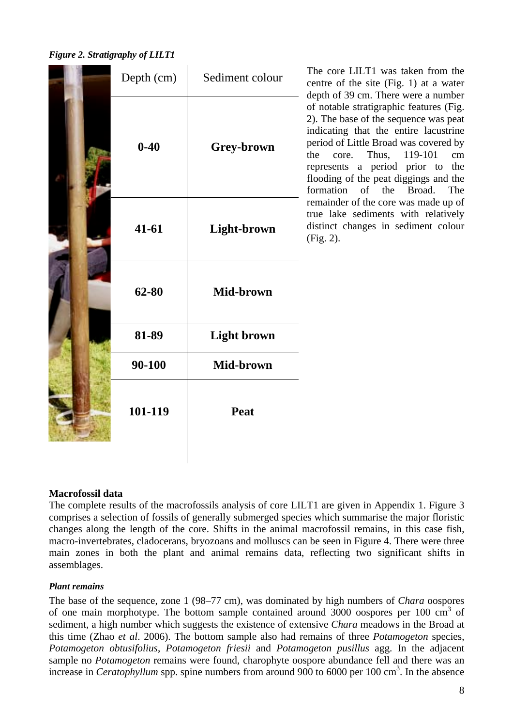<span id="page-10-1"></span>*Figure 2. Stratigraphy of LILT1* 

| Depth (cm) | Sediment colour    | The core LILT1 was taken from the<br>centre of the site (Fig. 1) at a water<br>depth of 39 cm. There were a number                                                                                                                                                                                                                |
|------------|--------------------|-----------------------------------------------------------------------------------------------------------------------------------------------------------------------------------------------------------------------------------------------------------------------------------------------------------------------------------|
| $0 - 40$   | Grey-brown         | of notable stratigraphic features (Fig.<br>2). The base of the sequence was peat<br>indicating that the entire lacustrine<br>period of Little Broad was covered by<br>Thus,<br>119-101<br>the<br>core.<br>cm<br>represents a period prior to the<br>flooding of the peat diggings and the<br>formation<br>Broad.<br>of the<br>The |
| $41 - 61$  | Light-brown        | remainder of the core was made up of<br>true lake sediments with relatively<br>distinct changes in sediment colour<br>(Fig. 2).                                                                                                                                                                                                   |
| 62-80      | Mid-brown          |                                                                                                                                                                                                                                                                                                                                   |
| 81-89      | <b>Light brown</b> |                                                                                                                                                                                                                                                                                                                                   |
| 90-100     | Mid-brown          |                                                                                                                                                                                                                                                                                                                                   |
| 101-119    | Peat               |                                                                                                                                                                                                                                                                                                                                   |
|            |                    |                                                                                                                                                                                                                                                                                                                                   |

#### <span id="page-10-0"></span>**Macrofossil data**

The complete results of the macrofossils analysis of core LILT1 are given in Appendix 1. Figure 3 comprises a selection of fossils of generally submerged species which summarise the major floristic changes along the length of the core. Shifts in the animal macrofossil remains, in this case fish, macro-invertebrates, cladocerans, bryozoans and molluscs can be seen in Figure 4. There were three main zones in both the plant and animal remains data, reflecting two significant shifts in assemblages.

#### *Plant remains*

The base of the sequence, zone 1 (98–77 cm), was dominated by high numbers of *Chara* oospores of one main morphotype. The bottom sample contained around  $3000$  oospores per 100 cm<sup>3</sup> of sediment, a high number which suggests the existence of extensive *Chara* meadows in the Broad at this time (Zhao *et al*. 2006). The bottom sample also had remains of three *Potamogeton* species, *Potamogeton obtusifolius*, *Potamogeton friesii* and *Potamogeton pusillus* agg. In the adjacent sample no *Potamogeton* remains were found, charophyte oospore abundance fell and there was an increase in *Ceratophyllum* spp. spine numbers from around 900 to 6000 per 100 cm<sup>3</sup>. In the absence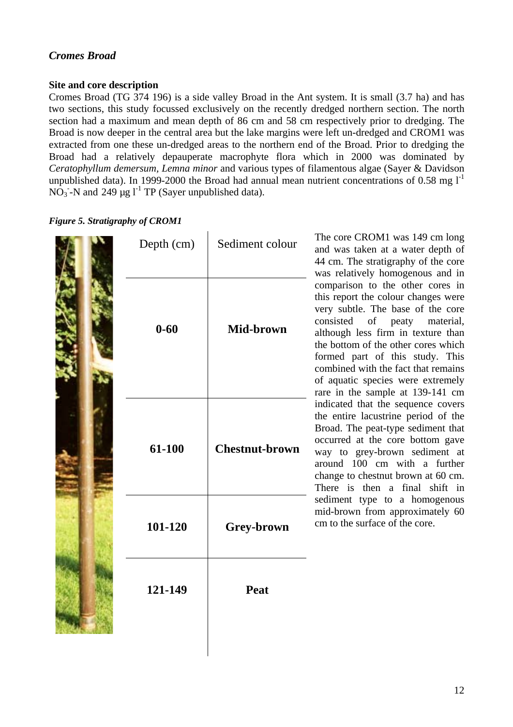## <span id="page-11-0"></span>*Cromes Broad*

#### <span id="page-11-1"></span>**Site and core description**

Cromes Broad (TG 374 196) is a side valley Broad in the Ant system. It is small (3.7 ha) and has two sections, this study focussed exclusively on the recently dredged northern section. The north section had a maximum and mean depth of 86 cm and 58 cm respectively prior to dredging. The Broad is now deeper in the central area but the lake margins were left un-dredged and CROM1 was extracted from one these un-dredged areas to the northern end of the Broad. Prior to dredging the Broad had a relatively depauperate macrophyte flora which in 2000 was dominated by *Ceratophyllum demersum, Lemna minor* and various types of filamentous algae (Sayer & Davidson unpublished data). In 1999-2000 the Broad had annual mean nutrient concentrations of 0.58 mg  $I<sup>-1</sup>$ NO<sub>3</sub> -N and 249  $\mu$ g l<sup>-1</sup> TP (Sayer unpublished data).

#### <span id="page-11-2"></span>*Figure 5. Stratigraphy*

| y of CROM1 |                       |
|------------|-----------------------|
| Depth (cm) | Sediment colour       |
| $0 - 60$   | Mid-brown             |
| 61-100     | <b>Chestnut-brown</b> |
| 101-120    | Grey-brown            |
| 121-149    | Peat                  |
|            |                       |

The core CROM1 was 149 cm long and was taken at a water depth of 44 cm. The stratigraphy of the core was relatively homogenous and in comparison to the other cores in this report the colour changes were very subtle. The base of the core consisted of peaty material, although less firm in texture than the bottom of the other cores which formed part of this study. This combined with the fact that remains of aquatic species were extremely rare in the sample at 139-141 cm indicated that the sequence covers the entire lacustrine period of the Broad. The peat-type sediment that occurred at the core bottom gave way to grey-brown sediment at around 100 cm with a further change to chestnut brown at 60 cm. There is then a final shift in sediment type to a homogenous mid-brown from approximately 60 cm to the surface of the core.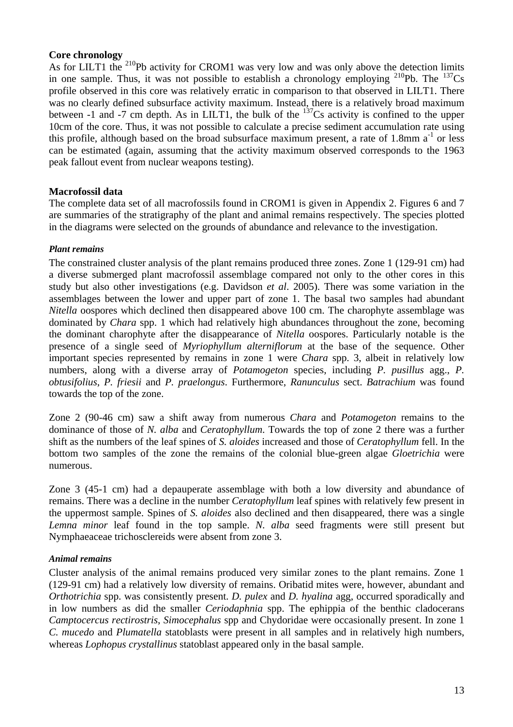### <span id="page-12-0"></span>**Core chronology**

As for LILT1 the <sup>210</sup>Pb activity for CROM1 was very low and was only above the detection limits in one sample. Thus, it was not possible to establish a chronology employing  $^{210}Pb$ . The  $^{137}Cs$ profile observed in this core was relatively erratic in comparison to that observed in LILT1. There was no clearly defined subsurface activity maximum. Instead, there is a relatively broad maximum between -1 and -7 cm depth. As in LILT1, the bulk of the  $^{137}Cs$  activity is confined to the upper 10cm of the core. Thus, it was not possible to calculate a precise sediment accumulation rate using this profile, although based on the broad subsurface maximum present, a rate of 1.8mm  $a^{-1}$  or less can be estimated (again, assuming that the activity maximum observed corresponds to the 1963 peak fallout event from nuclear weapons testing).

## <span id="page-12-1"></span>**Macrofossil data**

The complete data set of all macrofossils found in CROM1 is given in Appendix 2. Figures 6 and 7 are summaries of the stratigraphy of the plant and animal remains respectively. The species plotted in the diagrams were selected on the grounds of abundance and relevance to the investigation.

#### *Plant remains*

The constrained cluster analysis of the plant remains produced three zones. Zone 1 (129-91 cm) had a diverse submerged plant macrofossil assemblage compared not only to the other cores in this study but also other investigations (e.g. Davidson *et al*. 2005). There was some variation in the assemblages between the lower and upper part of zone 1. The basal two samples had abundant *Nitella* oospores which declined then disappeared above 100 cm. The charophyte assemblage was dominated by *Chara* spp. 1 which had relatively high abundances throughout the zone, becoming the dominant charophyte after the disappearance of *Nitella* oospores. Particularly notable is the presence of a single seed of *Myriophyllum alterniflorum* at the base of the sequence. Other important species represented by remains in zone 1 were *Chara* spp. 3, albeit in relatively low numbers, along with a diverse array of *Potamogeton* species, including *P. pusillus* agg., *P. obtusifolius*, *P. friesii* and *P. praelongus*. Furthermore, *Ranunculus* sect. *Batrachium* was found towards the top of the zone.

Zone 2 (90-46 cm) saw a shift away from numerous *Chara* and *Potamogeton* remains to the dominance of those of *N. alba* and *Ceratophyllum*. Towards the top of zone 2 there was a further shift as the numbers of the leaf spines of *S. aloides* increased and those of *Ceratophyllum* fell. In the bottom two samples of the zone the remains of the colonial blue-green algae *Gloetrichia* were numerous.

Zone 3 (45-1 cm) had a depauperate assemblage with both a low diversity and abundance of remains. There was a decline in the number *Ceratophyllum* leaf spines with relatively few present in the uppermost sample. Spines of *S. aloides* also declined and then disappeared, there was a single *Lemna minor* leaf found in the top sample. *N. alba* seed fragments were still present but Nymphaeaceae trichosclereids were absent from zone 3.

## *Animal remains*

Cluster analysis of the animal remains produced very similar zones to the plant remains. Zone 1 (129-91 cm) had a relatively low diversity of remains. Oribatid mites were, however, abundant and *Orthotrichia* spp. was consistently present. *D. pulex* and *D. hyalina* agg, occurred sporadically and in low numbers as did the smaller *Ceriodaphnia* spp. The ephippia of the benthic cladocerans *Camptocercus rectirostris*, *Simocephalus* spp and Chydoridae were occasionally present. In zone 1 *C. mucedo* and *Plumatella* statoblasts were present in all samples and in relatively high numbers, whereas *Lophopus crystallinus* statoblast appeared only in the basal sample.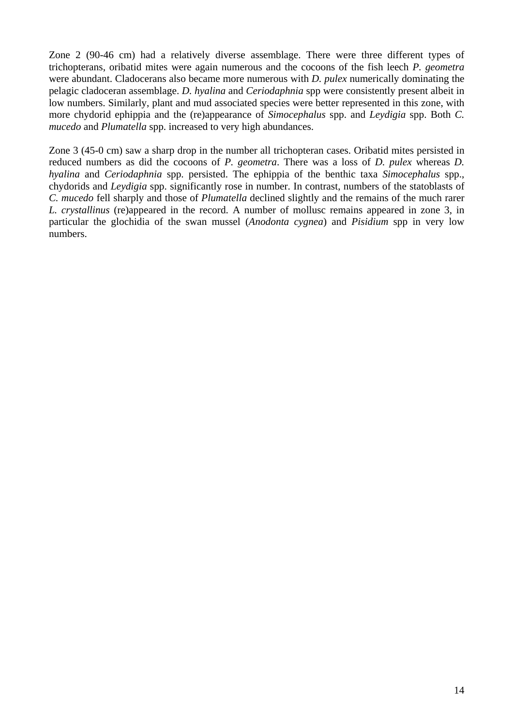Zone 2 (90-46 cm) had a relatively diverse assemblage. There were three different types of trichopterans, oribatid mites were again numerous and the cocoons of the fish leech *P. geometra*  were abundant. Cladocerans also became more numerous with *D. pulex* numerically dominating the pelagic cladoceran assemblage. *D. hyalina* and *Ceriodaphnia* spp were consistently present albeit in low numbers. Similarly, plant and mud associated species were better represented in this zone, with more chydorid ephippia and the (re)appearance of *Simocephalus* spp. and *Leydigia* spp. Both *C. mucedo* and *Plumatella* spp. increased to very high abundances.

Zone 3 (45-0 cm) saw a sharp drop in the number all trichopteran cases. Oribatid mites persisted in reduced numbers as did the cocoons of *P. geometra*. There was a loss of *D. pulex* whereas *D. hyalina* and *Ceriodaphnia* spp. persisted. The ephippia of the benthic taxa *Simocephalus* spp., chydorids and *Leydigia* spp. significantly rose in number. In contrast, numbers of the statoblasts of *C. mucedo* fell sharply and those of *Plumatella* declined slightly and the remains of the much rarer *L. crystallinus* (re)appeared in the record. A number of mollusc remains appeared in zone 3, in particular the glochidia of the swan mussel (*Anodonta cygnea*) and *Pisidium* spp in very low numbers.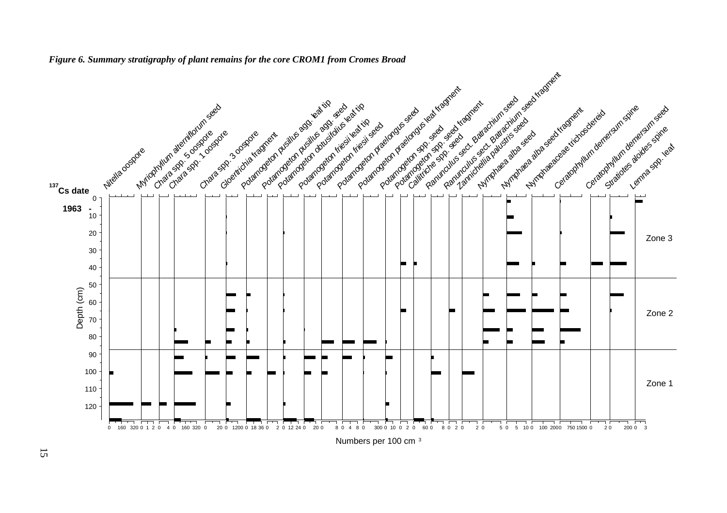<span id="page-14-0"></span>

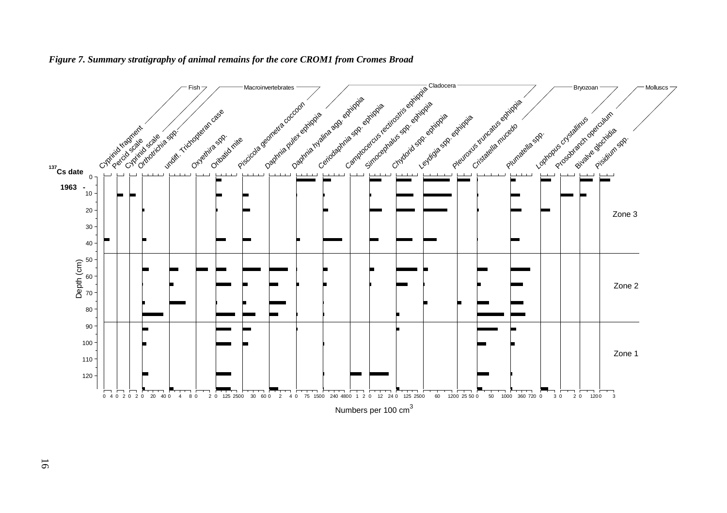<span id="page-15-0"></span>

#### *Figure 7. Summary stratigraphy of animal remains for the core CROM1 from Cromes Broad*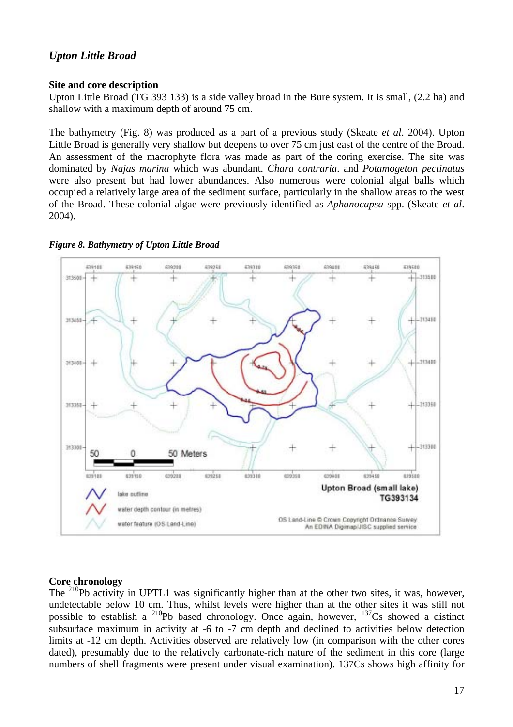## <span id="page-16-0"></span>*Upton Little Broad*

#### <span id="page-16-1"></span>**Site and core description**

Upton Little Broad (TG 393 133) is a side valley broad in the Bure system. It is small, (2.2 ha) and shallow with a maximum depth of around 75 cm.

The bathymetry (Fig. 8) was produced as a part of a previous study (Skeate *et al*. 2004). Upton Little Broad is generally very shallow but deepens to over 75 cm just east of the centre of the Broad. An assessment of the macrophyte flora was made as part of the coring exercise. The site was dominated by *Najas marina* which was abundant. *Chara contraria*. and *Potamogeton pectinatus* were also present but had lower abundances. Also numerous were colonial algal balls which occupied a relatively large area of the sediment surface, particularly in the shallow areas to the west of the Broad. These colonial algae were previously identified as *Aphanocapsa* spp. (Skeate *et al*. 2004).



#### <span id="page-16-3"></span>*Figure 8. Bathymetry of Upton Little Broad*

#### <span id="page-16-2"></span>**Core chronology**

The <sup>210</sup>Pb activity in UPTL1 was significantly higher than at the other two sites, it was, however, undetectable below 10 cm. Thus, whilst levels were higher than at the other sites it was still not possible to establish a <sup>210</sup>Pb based chronology. Once again, however, <sup>137</sup>Cs showed a distinct subsurface maximum in activity at -6 to -7 cm depth and declined to activities below detection limits at -12 cm depth. Activities observed are relatively low (in comparison with the other cores dated), presumably due to the relatively carbonate-rich nature of the sediment in this core (large numbers of shell fragments were present under visual examination). 137Cs shows high affinity for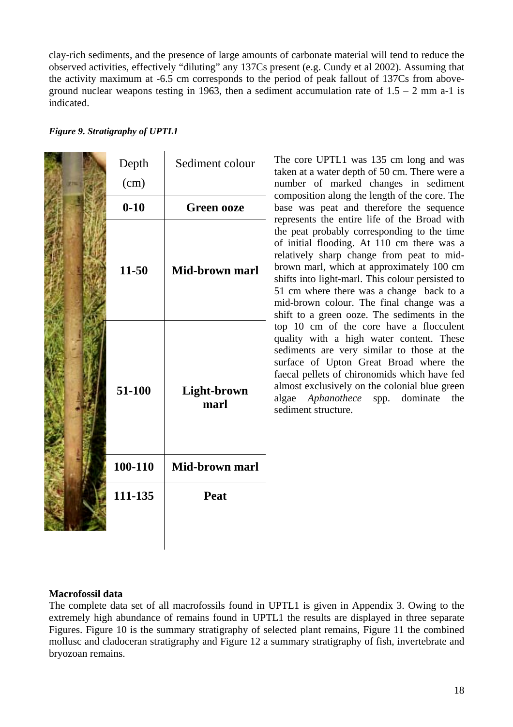clay-rich sediments, and the presence of large amounts of carbonate material will tend to reduce the observed activities, effectively "diluting" any 137Cs present (e.g. Cundy et al 2002). Assuming that the activity maximum at -6.5 cm corresponds to the period of peak fallout of 137Cs from aboveground nuclear weapons testing in 1963, then a sediment accumulation rate of  $1.5 - 2$  mm a-1 is indicated.

<span id="page-17-1"></span>

|  |  | <b>Figure 9. Stratigraphy of UPTL1</b> |  |  |
|--|--|----------------------------------------|--|--|
|--|--|----------------------------------------|--|--|

| Depth    | Sediment colour     |
|----------|---------------------|
| (cm)     |                     |
| $0 - 10$ | <b>Green ooze</b>   |
| 11-50    | Mid-brown marl      |
| 51-100   | Light-brown<br>marl |
| 100-110  | Mid-brown marl      |
| 111-135  | Peat                |

The core UPTL1 was 135 cm long and was taken at a water depth of 50 cm. There were a number of marked changes in sediment composition along the length of the core. The base was peat and therefore the sequence represents the entire life of the Broad with the peat probably corresponding to the time of initial flooding. At 110 cm there was a relatively sharp change from peat to midbrown marl, which at approximately 100 cm shifts into light-marl. This colour persisted to 51 cm where there was a change back to a mid-brown colour. The final change was a shift to a green ooze. The sediments in the top 10 cm of the core have a flocculent quality with a high water content. These sediments are very similar to those at the surface of Upton Great Broad where the faecal pellets of chironomids which have fed almost exclusively on the colonial blue green algae *Aphanothece* spp. dominate the sediment structure.

## <span id="page-17-0"></span>**Macrofossil data**

The complete data set of all macrofossils found in UPTL1 is given in Appendix 3. Owing to the extremely high abundance of remains found in UPTL1 the results are displayed in three separate Figures. Figure 10 is the summary stratigraphy of selected plant remains, Figure 11 the combined mollusc and cladoceran stratigraphy and Figure 12 a summary stratigraphy of fish, invertebrate and bryozoan remains.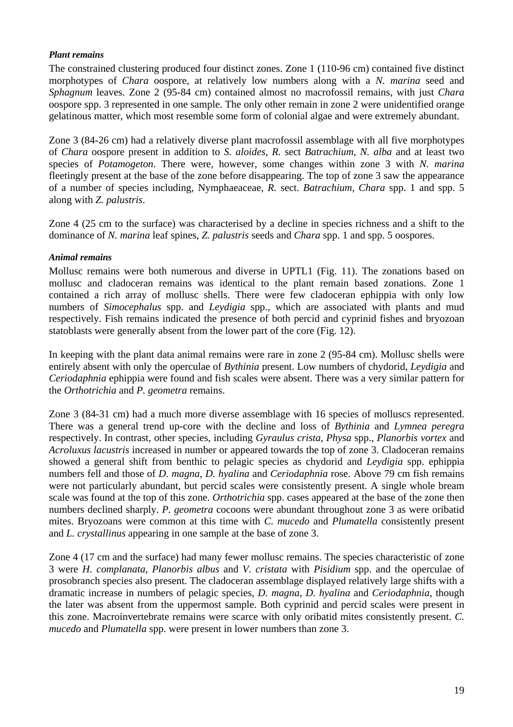#### *Plant remains*

The constrained clustering produced four distinct zones. Zone 1 (110-96 cm) contained five distinct morphotypes of *Chara* oospore, at relatively low numbers along with a *N. marina* seed and *Sphagnum* leaves. Zone 2 (95-84 cm) contained almost no macrofossil remains, with just *Chara* oospore spp. 3 represented in one sample. The only other remain in zone 2 were unidentified orange gelatinous matter, which most resemble some form of colonial algae and were extremely abundant.

Zone 3 (84-26 cm) had a relatively diverse plant macrofossil assemblage with all five morphotypes of *Chara* oospore present in addition to *S. aloides*, *R.* sect *Batrachium*, *N. alba* and at least two species of *Potamogeton*. There were, however, some changes within zone 3 with *N. marina* fleetingly present at the base of the zone before disappearing. The top of zone 3 saw the appearance of a number of species including, Nymphaeaceae, *R.* sect. *Batrachium*, *Chara* spp. 1 and spp. 5 along with *Z. palustris*.

Zone 4 (25 cm to the surface) was characterised by a decline in species richness and a shift to the dominance of *N. marina* leaf spines, *Z. palustris* seeds and *Chara* spp. 1 and spp. 5 oospores.

#### *Animal remains*

Mollusc remains were both numerous and diverse in UPTL1 (Fig. 11). The zonations based on mollusc and cladoceran remains was identical to the plant remain based zonations. Zone 1 contained a rich array of mollusc shells. There were few cladoceran ephippia with only low numbers of *Simocephalus* spp. and *Leydigia* spp., which are associated with plants and mud respectively. Fish remains indicated the presence of both percid and cyprinid fishes and bryozoan statoblasts were generally absent from the lower part of the core (Fig. 12).

In keeping with the plant data animal remains were rare in zone 2 (95-84 cm). Mollusc shells were entirely absent with only the operculae of *Bythinia* present. Low numbers of chydorid, *Leydigia* and *Ceriodaphnia* ephippia were found and fish scales were absent. There was a very similar pattern for the *Orthotrichia* and *P. geometra* remains.

Zone 3 (84-31 cm) had a much more diverse assemblage with 16 species of molluscs represented. There was a general trend up-core with the decline and loss of *Bythinia* and *Lymnea peregra* respectively. In contrast, other species, including *Gyraulus crista*, *Physa* spp., *Planorbis vortex* and *Acroluxus lacustris* increased in number or appeared towards the top of zone 3. Cladoceran remains showed a general shift from benthic to pelagic species as chydorid and *Leydigia* spp. ephippia numbers fell and those of *D. magna*, *D. hyalina* and *Ceriodaphnia* rose. Above 79 cm fish remains were not particularly abundant, but percid scales were consistently present. A single whole bream scale was found at the top of this zone. *Orthotrichia* spp. cases appeared at the base of the zone then numbers declined sharply. *P. geometra* cocoons were abundant throughout zone 3 as were oribatid mites. Bryozoans were common at this time with *C. mucedo* and *Plumatella* consistently present and *L. crystallinus* appearing in one sample at the base of zone 3.

Zone 4 (17 cm and the surface) had many fewer mollusc remains. The species characteristic of zone 3 were *H. complanata*, *Planorbis albus* and *V*. *cristata* with *Pisidium* spp. and the operculae of prosobranch species also present. The cladoceran assemblage displayed relatively large shifts with a dramatic increase in numbers of pelagic species, *D. magna*, *D. hyalina* and *Ceriodaphnia*, though the later was absent from the uppermost sample. Both cyprinid and percid scales were present in this zone. Macroinvertebrate remains were scarce with only oribatid mites consistently present. *C. mucedo* and *Plumatella* spp. were present in lower numbers than zone 3.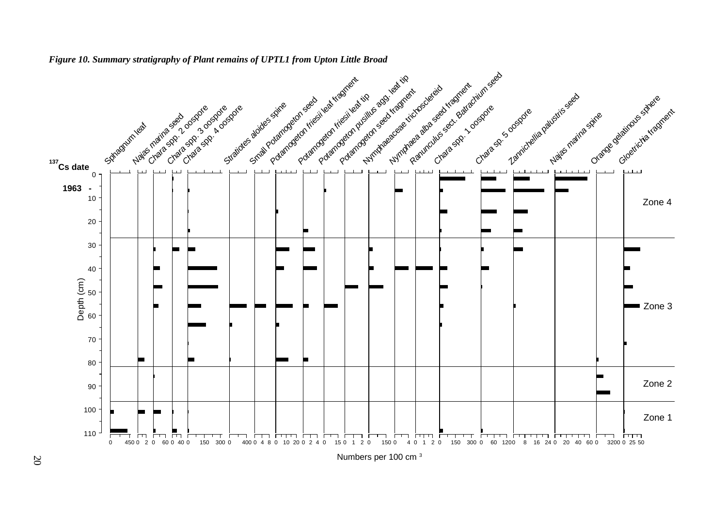<span id="page-19-0"></span>

#### *Figure 10. Summary stratigraphy of Plant remains of UPTL1 from Upton Little Broad*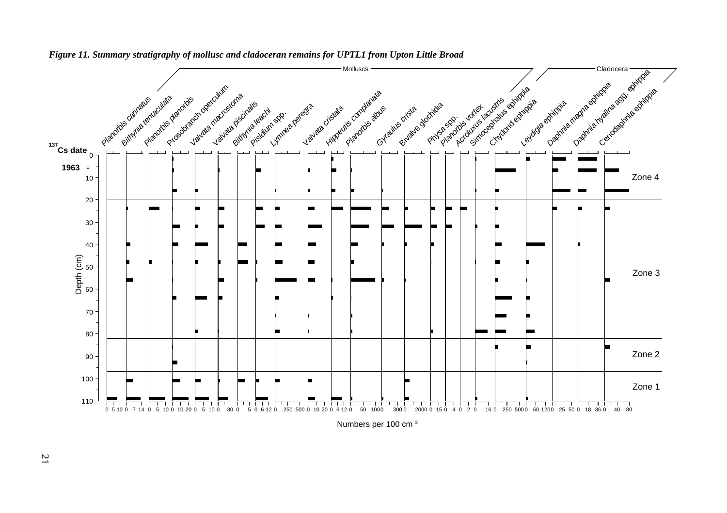

*Figure 11. Summary stratigraphy of mollusc and cladoceran remains for UPTL1 from Upton Little Broad* 

<span id="page-20-0"></span>Numbers per 100 cm <sup>3</sup>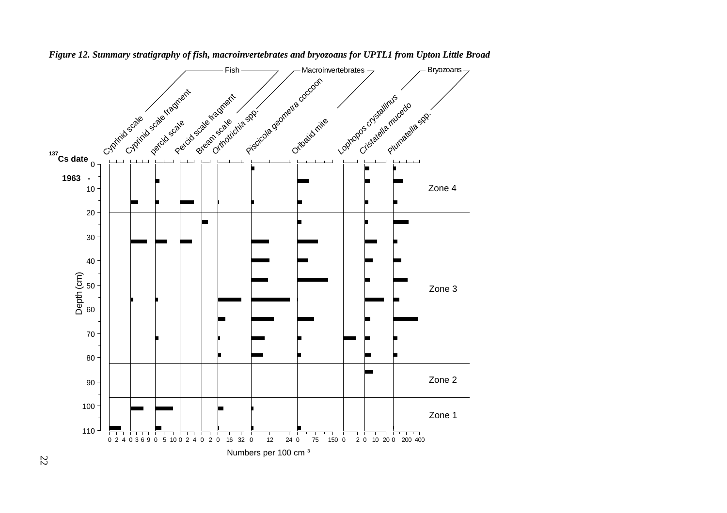<span id="page-21-0"></span>

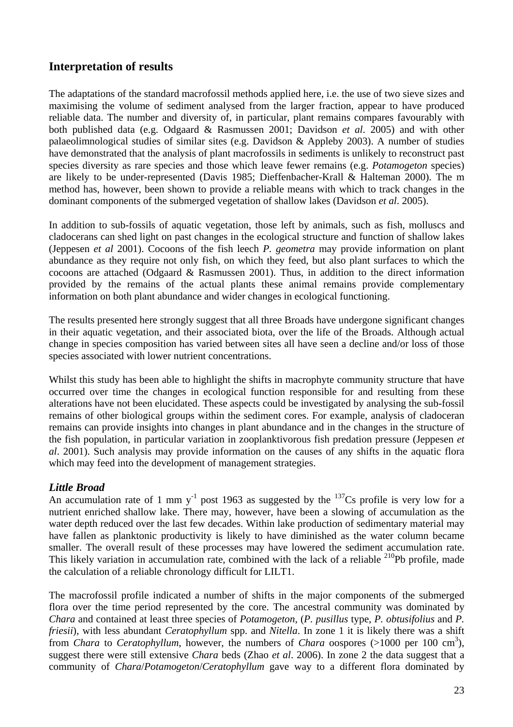## <span id="page-22-0"></span>**Interpretation of results**

The adaptations of the standard macrofossil methods applied here, i.e. the use of two sieve sizes and maximising the volume of sediment analysed from the larger fraction, appear to have produced reliable data. The number and diversity of, in particular, plant remains compares favourably with both published data (e.g. Odgaard & Rasmussen 2001; Davidson *et al*. 2005) and with other palaeolimnological studies of similar sites (e.g. Davidson & Appleby 2003). A number of studies have demonstrated that the analysis of plant macrofossils in sediments is unlikely to reconstruct past species diversity as rare species and those which leave fewer remains (e.g. *Potamogeton* species) are likely to be under-represented (Davis 1985; Dieffenbacher-Krall & Halteman 2000). The m method has, however, been shown to provide a reliable means with which to track changes in the dominant components of the submerged vegetation of shallow lakes (Davidson *et al*. 2005).

In addition to sub-fossils of aquatic vegetation, those left by animals, such as fish, molluscs and cladocerans can shed light on past changes in the ecological structure and function of shallow lakes (Jeppesen *et al* 2001). Cocoons of the fish leech *P. geometra* may provide information on plant abundance as they require not only fish, on which they feed, but also plant surfaces to which the cocoons are attached (Odgaard & Rasmussen 2001). Thus, in addition to the direct information provided by the remains of the actual plants these animal remains provide complementary information on both plant abundance and wider changes in ecological functioning.

The results presented here strongly suggest that all three Broads have undergone significant changes in their aquatic vegetation, and their associated biota, over the life of the Broads. Although actual change in species composition has varied between sites all have seen a decline and/or loss of those species associated with lower nutrient concentrations.

Whilst this study has been able to highlight the shifts in macrophyte community structure that have occurred over time the changes in ecological function responsible for and resulting from these alterations have not been elucidated. These aspects could be investigated by analysing the sub-fossil remains of other biological groups within the sediment cores. For example, analysis of cladoceran remains can provide insights into changes in plant abundance and in the changes in the structure of the fish population, in particular variation in zooplanktivorous fish predation pressure (Jeppesen *et al*. 2001). Such analysis may provide information on the causes of any shifts in the aquatic flora which may feed into the development of management strategies.

## <span id="page-22-1"></span>*Little Broad*

An accumulation rate of 1 mm  $y^{-1}$  post 1963 as suggested by the <sup>137</sup>Cs profile is very low for a nutrient enriched shallow lake. There may, however, have been a slowing of accumulation as the water depth reduced over the last few decades. Within lake production of sedimentary material may have fallen as planktonic productivity is likely to have diminished as the water column became smaller. The overall result of these processes may have lowered the sediment accumulation rate. This likely variation in accumulation rate, combined with the lack of a reliable  $210Pb$  profile, made the calculation of a reliable chronology difficult for LILT1.

The macrofossil profile indicated a number of shifts in the major components of the submerged flora over the time period represented by the core. The ancestral community was dominated by *Chara* and contained at least three species of *Potamogeton*, (*P. pusillus* type, *P. obtusifolius* and *P. friesii*), with less abundant *Ceratophyllum* spp. and *Nitella*. In zone 1 it is likely there was a shift from *Chara* to *Ceratophyllum*, however, the numbers of *Chara* oospores (>1000 per 100 cm3 ), suggest there were still extensive *Chara* beds (Zhao *et al*. 2006). In zone 2 the data suggest that a community of *Chara*/*Potamogeton*/*Ceratophyllum* gave way to a different flora dominated by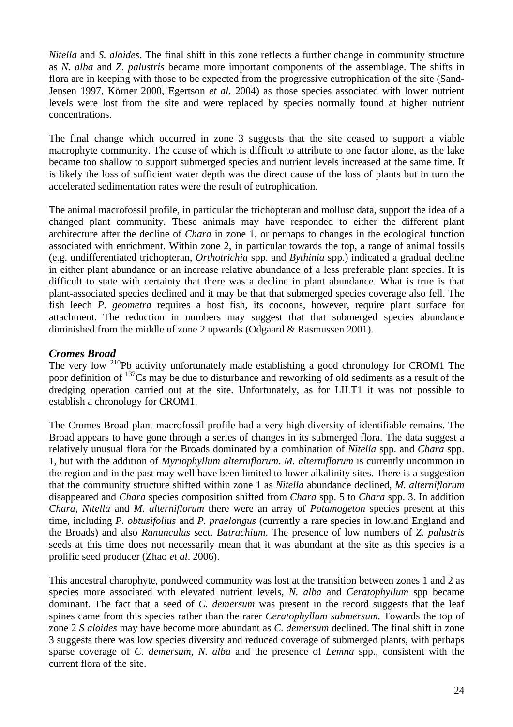*Nitella* and *S. aloides*. The final shift in this zone reflects a further change in community structure as *N. alba* and *Z. palustris* became more important components of the assemblage. The shifts in flora are in keeping with those to be expected from the progressive eutrophication of the site (Sand-Jensen 1997, Körner 2000, Egertson *et al*. 2004) as those species associated with lower nutrient levels were lost from the site and were replaced by species normally found at higher nutrient concentrations.

The final change which occurred in zone 3 suggests that the site ceased to support a viable macrophyte community. The cause of which is difficult to attribute to one factor alone, as the lake became too shallow to support submerged species and nutrient levels increased at the same time. It is likely the loss of sufficient water depth was the direct cause of the loss of plants but in turn the accelerated sedimentation rates were the result of eutrophication.

The animal macrofossil profile, in particular the trichopteran and mollusc data, support the idea of a changed plant community. These animals may have responded to either the different plant architecture after the decline of *Chara* in zone 1, or perhaps to changes in the ecological function associated with enrichment. Within zone 2, in particular towards the top, a range of animal fossils (e.g. undifferentiated trichopteran, *Orthotrichia* spp. and *Bythinia* spp.) indicated a gradual decline in either plant abundance or an increase relative abundance of a less preferable plant species. It is difficult to state with certainty that there was a decline in plant abundance. What is true is that plant-associated species declined and it may be that that submerged species coverage also fell. The fish leech *P. geometra* requires a host fish, its cocoons, however, require plant surface for attachment. The reduction in numbers may suggest that that submerged species abundance diminished from the middle of zone 2 upwards (Odgaard & Rasmussen 2001).

## <span id="page-23-0"></span>*Cromes Broad*

The very low  $^{210}Pb$  activity unfortunately made establishing a good chronology for CROM1 The poor definition of <sup>137</sup>Cs may be due to disturbance and reworking of old sediments as a result of the dredging operation carried out at the site. Unfortunately, as for LILT1 it was not possible to establish a chronology for CROM1.

The Cromes Broad plant macrofossil profile had a very high diversity of identifiable remains. The Broad appears to have gone through a series of changes in its submerged flora. The data suggest a relatively unusual flora for the Broads dominated by a combination of *Nitella* spp. and *Chara* spp. 1, but with the addition of *Myriophyllum alterniflorum*. *M. alterniflorum* is currently uncommon in the region and in the past may well have been limited to lower alkalinity sites. There is a suggestion that the community structure shifted within zone 1 as *Nitella* abundance declined, *M. alterniflorum* disappeared and *Chara* species composition shifted from *Chara* spp. 5 to *Chara* spp. 3. In addition *Chara, Nitella* and *M. alterniflorum* there were an array of *Potamogeton* species present at this time, including *P. obtusifolius* and *P. praelongus* (currently a rare species in lowland England and the Broads) and also *Ranunculus* sect. *Batrachium*. The presence of low numbers of *Z. palustris*  seeds at this time does not necessarily mean that it was abundant at the site as this species is a prolific seed producer (Zhao *et al*. 2006).

This ancestral charophyte, pondweed community was lost at the transition between zones 1 and 2 as species more associated with elevated nutrient levels, *N. alba* and *Ceratophyllum* spp became dominant. The fact that a seed of *C. demersum* was present in the record suggests that the leaf spines came from this species rather than the rarer *Ceratophyllum submersum*. Towards the top of zone 2 *S aloides* may have become more abundant as *C. demersum* declined. The final shift in zone 3 suggests there was low species diversity and reduced coverage of submerged plants, with perhaps sparse coverage of *C. demersum*, *N. alba* and the presence of *Lemna* spp., consistent with the current flora of the site.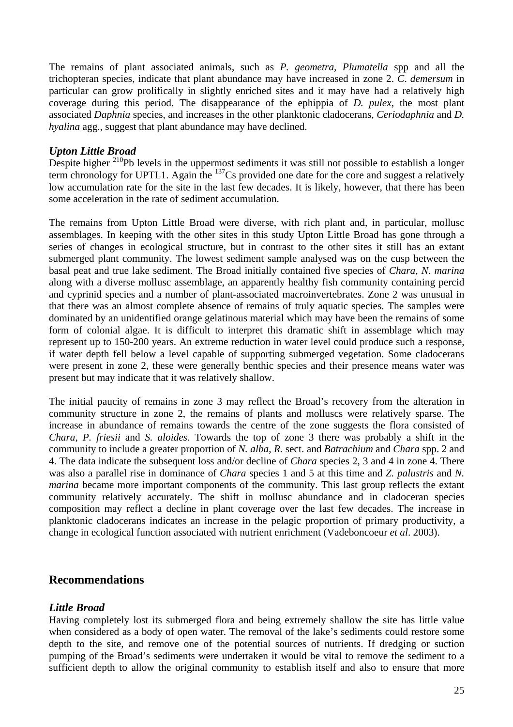The remains of plant associated animals, such as *P. geometra, Plumatella* spp and all the trichopteran species, indicate that plant abundance may have increased in zone 2. *C*. *demersum* in particular can grow prolifically in slightly enriched sites and it may have had a relatively high coverage during this period. The disappearance of the ephippia of *D. pulex*, the most plant associated *Daphnia* species, and increases in the other planktonic cladocerans, *Ceriodaphnia* and *D. hyalina* agg., suggest that plant abundance may have declined.

## <span id="page-24-0"></span>*Upton Little Broad*

Despite higher <sup>210</sup>Pb levels in the uppermost sediments it was still not possible to establish a longer term chronology for UPTL1. Again the  $^{137}Cs$  provided one date for the core and suggest a relatively low accumulation rate for the site in the last few decades. It is likely, however, that there has been some acceleration in the rate of sediment accumulation.

The remains from Upton Little Broad were diverse, with rich plant and, in particular, mollusc assemblages. In keeping with the other sites in this study Upton Little Broad has gone through a series of changes in ecological structure, but in contrast to the other sites it still has an extant submerged plant community. The lowest sediment sample analysed was on the cusp between the basal peat and true lake sediment. The Broad initially contained five species of *Chara*, *N. marina* along with a diverse mollusc assemblage, an apparently healthy fish community containing percid and cyprinid species and a number of plant-associated macroinvertebrates. Zone 2 was unusual in that there was an almost complete absence of remains of truly aquatic species. The samples were dominated by an unidentified orange gelatinous material which may have been the remains of some form of colonial algae. It is difficult to interpret this dramatic shift in assemblage which may represent up to 150-200 years. An extreme reduction in water level could produce such a response, if water depth fell below a level capable of supporting submerged vegetation. Some cladocerans were present in zone 2, these were generally benthic species and their presence means water was present but may indicate that it was relatively shallow.

The initial paucity of remains in zone 3 may reflect the Broad's recovery from the alteration in community structure in zone 2, the remains of plants and molluscs were relatively sparse. The increase in abundance of remains towards the centre of the zone suggests the flora consisted of *Chara*, *P. friesii* and *S. aloides*. Towards the top of zone 3 there was probably a shift in the community to include a greater proportion of *N. alba*, *R.* sect. and *Batrachium* and *Chara* spp. 2 and 4. The data indicate the subsequent loss and/or decline of *Chara* species 2, 3 and 4 in zone 4. There was also a parallel rise in dominance of *Chara* species 1 and 5 at this time and *Z. palustris* and *N. marina* became more important components of the community. This last group reflects the extant community relatively accurately. The shift in mollusc abundance and in cladoceran species composition may reflect a decline in plant coverage over the last few decades. The increase in planktonic cladocerans indicates an increase in the pelagic proportion of primary productivity, a change in ecological function associated with nutrient enrichment (Vadeboncoeur *et al*. 2003).

## <span id="page-24-1"></span>**Recommendations**

## <span id="page-24-2"></span>*Little Broad*

Having completely lost its submerged flora and being extremely shallow the site has little value when considered as a body of open water. The removal of the lake's sediments could restore some depth to the site, and remove one of the potential sources of nutrients. If dredging or suction pumping of the Broad's sediments were undertaken it would be vital to remove the sediment to a sufficient depth to allow the original community to establish itself and also to ensure that more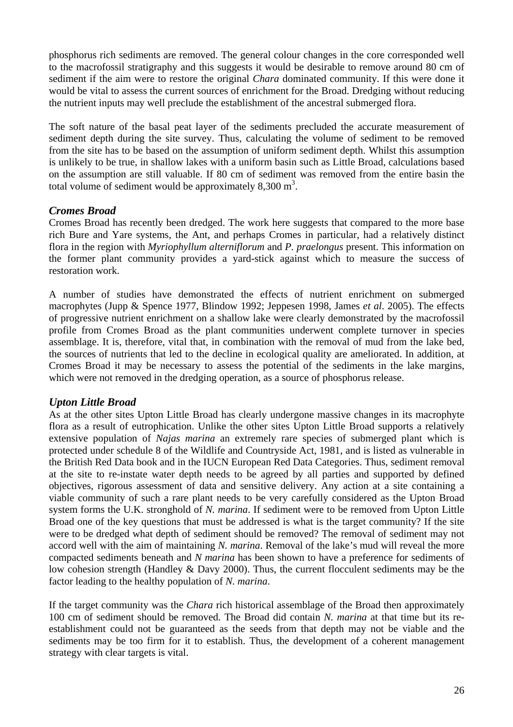phosphorus rich sediments are removed. The general colour changes in the core corresponded well to the macrofossil stratigraphy and this suggests it would be desirable to remove around 80 cm of sediment if the aim were to restore the original *Chara* dominated community. If this were done it would be vital to assess the current sources of enrichment for the Broad. Dredging without reducing the nutrient inputs may well preclude the establishment of the ancestral submerged flora.

The soft nature of the basal peat layer of the sediments precluded the accurate measurement of sediment depth during the site survey. Thus, calculating the volume of sediment to be removed from the site has to be based on the assumption of uniform sediment depth. Whilst this assumption is unlikely to be true, in shallow lakes with a uniform basin such as Little Broad, calculations based on the assumption are still valuable. If 80 cm of sediment was removed from the entire basin the total volume of sediment would be approximately  $8,300 \text{ m}^3$ .

## <span id="page-25-0"></span>*Cromes Broad*

Cromes Broad has recently been dredged. The work here suggests that compared to the more base rich Bure and Yare systems, the Ant, and perhaps Cromes in particular, had a relatively distinct flora in the region with *Myriophyllum alterniflorum* and *P. praelongus* present. This information on the former plant community provides a yard-stick against which to measure the success of restoration work.

A number of studies have demonstrated the effects of nutrient enrichment on submerged macrophytes (Jupp & Spence 1977, Blindow 1992; Jeppesen 1998, James *et al*. 2005). The effects of progressive nutrient enrichment on a shallow lake were clearly demonstrated by the macrofossil profile from Cromes Broad as the plant communities underwent complete turnover in species assemblage. It is, therefore, vital that, in combination with the removal of mud from the lake bed, the sources of nutrients that led to the decline in ecological quality are ameliorated. In addition, at Cromes Broad it may be necessary to assess the potential of the sediments in the lake margins, which were not removed in the dredging operation, as a source of phosphorus release.

## <span id="page-25-1"></span>*Upton Little Broad*

As at the other sites Upton Little Broad has clearly undergone massive changes in its macrophyte flora as a result of eutrophication. Unlike the other sites Upton Little Broad supports a relatively extensive population of *Najas marina* an extremely rare species of submerged plant which is protected under schedule 8 of the Wildlife and Countryside Act, 1981, and is listed as vulnerable in the British Red Data book and in the IUCN European Red Data Categories. Thus, sediment removal at the site to re-instate water depth needs to be agreed by all parties and supported by defined objectives, rigorous assessment of data and sensitive delivery. Any action at a site containing a viable community of such a rare plant needs to be very carefully considered as the Upton Broad system forms the U.K. stronghold of *N. marina*. If sediment were to be removed from Upton Little Broad one of the key questions that must be addressed is what is the target community? If the site were to be dredged what depth of sediment should be removed? The removal of sediment may not accord well with the aim of maintaining *N. marina*. Removal of the lake's mud will reveal the more compacted sediments beneath and *N marina* has been shown to have a preference for sediments of low cohesion strength (Handley & Davy 2000). Thus, the current flocculent sediments may be the factor leading to the healthy population of *N. marina*.

If the target community was the *Chara* rich historical assemblage of the Broad then approximately 100 cm of sediment should be removed. The Broad did contain *N. marina* at that time but its reestablishment could not be guaranteed as the seeds from that depth may not be viable and the sediments may be too firm for it to establish. Thus, the development of a coherent management strategy with clear targets is vital.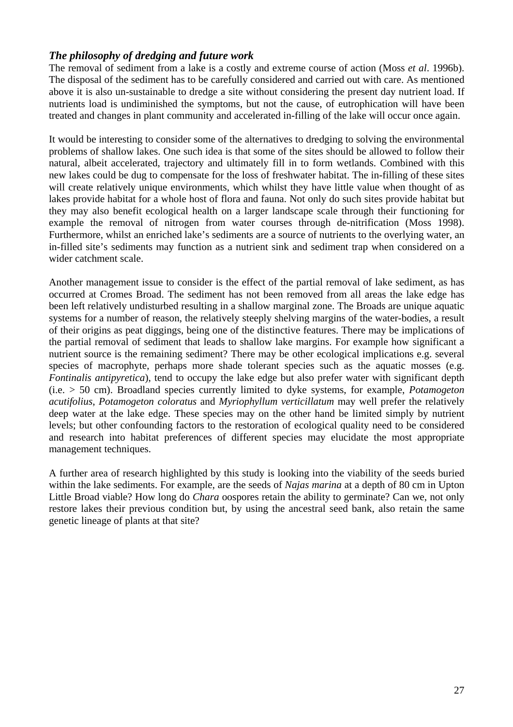## <span id="page-26-0"></span>*The philosophy of dredging and future work*

The removal of sediment from a lake is a costly and extreme course of action (Moss *et al*. 1996b). The disposal of the sediment has to be carefully considered and carried out with care. As mentioned above it is also un-sustainable to dredge a site without considering the present day nutrient load. If nutrients load is undiminished the symptoms, but not the cause, of eutrophication will have been treated and changes in plant community and accelerated in-filling of the lake will occur once again.

It would be interesting to consider some of the alternatives to dredging to solving the environmental problems of shallow lakes. One such idea is that some of the sites should be allowed to follow their natural, albeit accelerated, trajectory and ultimately fill in to form wetlands. Combined with this new lakes could be dug to compensate for the loss of freshwater habitat. The in-filling of these sites will create relatively unique environments, which whilst they have little value when thought of as lakes provide habitat for a whole host of flora and fauna. Not only do such sites provide habitat but they may also benefit ecological health on a larger landscape scale through their functioning for example the removal of nitrogen from water courses through de-nitrification (Moss 1998). Furthermore, whilst an enriched lake's sediments are a source of nutrients to the overlying water, an in-filled site's sediments may function as a nutrient sink and sediment trap when considered on a wider catchment scale.

Another management issue to consider is the effect of the partial removal of lake sediment, as has occurred at Cromes Broad. The sediment has not been removed from all areas the lake edge has been left relatively undisturbed resulting in a shallow marginal zone. The Broads are unique aquatic systems for a number of reason, the relatively steeply shelving margins of the water-bodies, a result of their origins as peat diggings, being one of the distinctive features. There may be implications of the partial removal of sediment that leads to shallow lake margins. For example how significant a nutrient source is the remaining sediment? There may be other ecological implications e.g. several species of macrophyte, perhaps more shade tolerant species such as the aquatic mosses (e.g. *Fontinalis antipyretica*), tend to occupy the lake edge but also prefer water with significant depth (i.e. > 50 cm). Broadland species currently limited to dyke systems, for example, *Potamogeton acutifolius*, *Potamogeton coloratus* and *Myriophyllum verticillatum* may well prefer the relatively deep water at the lake edge. These species may on the other hand be limited simply by nutrient levels; but other confounding factors to the restoration of ecological quality need to be considered and research into habitat preferences of different species may elucidate the most appropriate management techniques.

A further area of research highlighted by this study is looking into the viability of the seeds buried within the lake sediments. For example, are the seeds of *Najas marina* at a depth of 80 cm in Upton Little Broad viable? How long do *Chara* oospores retain the ability to germinate? Can we, not only restore lakes their previous condition but, by using the ancestral seed bank, also retain the same genetic lineage of plants at that site?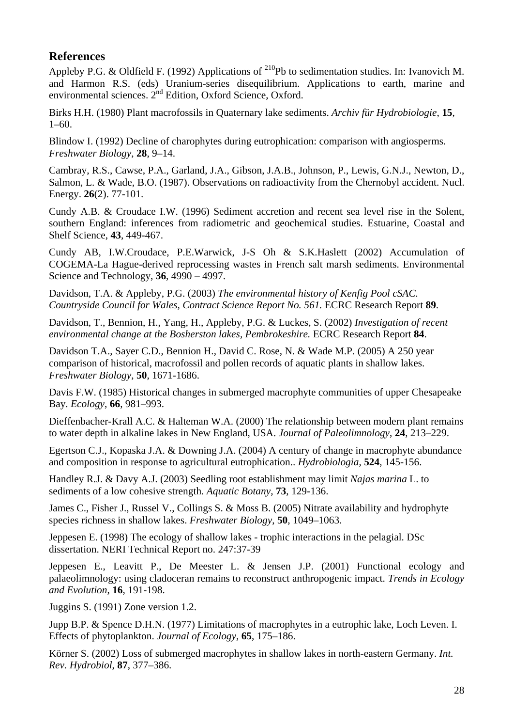## **References**

<span id="page-27-0"></span>Appleby P.G. & Oldfield F. (1992) Applications of <sup>210</sup>Pb to sedimentation studies. In: Ivanovich M. and Harmon R.S. (eds) Uranium-series disequilibrium. Applications to earth, marine and environmental sciences. 2<sup>nd</sup> Edition, Oxford Science, Oxford.

Birks H.H. (1980) Plant macrofossils in Quaternary lake sediments. *Archiv für Hydrobiologie*, **15**, 1–60.

Blindow I. (1992) Decline of charophytes during eutrophication: comparison with angiosperms. *Freshwater Biology*, **28**, 9–14.

Cambray, R.S., Cawse, P.A., Garland, J.A., Gibson, J.A.B., Johnson, P., Lewis, G.N.J., Newton, D., Salmon, L. & Wade, B.O. (1987). Observations on radioactivity from the Chernobyl accident. Nucl. Energy. **26**(2). 77-101.

Cundy A.B. & Croudace I.W. (1996) Sediment accretion and recent sea level rise in the Solent, southern England: inferences from radiometric and geochemical studies. Estuarine, Coastal and Shelf Science, **43**, 449-467.

Cundy AB, I.W.Croudace, P.E.Warwick, J-S Oh & S.K.Haslett (2002) Accumulation of COGEMA-La Hague-derived reprocessing wastes in French salt marsh sediments. Environmental Science and Technology, **36**, 4990 – 4997.

Davidson, T.A. & Appleby, P.G. (2003) *The environmental history of Kenfig Pool cSAC. Countryside Council for Wales, Contract Science Report No. 561.* ECRC Research Report **89**.

Davidson, T., Bennion, H., Yang, H., Appleby, P.G. & Luckes, S. (2002) *Investigation of recent environmental change at the Bosherston lakes, Pembrokeshire.* ECRC Research Report **84**.

Davidson T.A., Sayer C.D., Bennion H., David C. Rose, N. & Wade M.P. (2005) A 250 year comparison of historical, macrofossil and pollen records of aquatic plants in shallow lakes. *Freshwater Biology*, **50**, 1671-1686.

Davis F.W. (1985) Historical changes in submerged macrophyte communities of upper Chesapeake Bay. *Ecology*, **66**, 981–993.

Dieffenbacher-Krall A.C. & Halteman W.A. (2000) The relationship between modern plant remains to water depth in alkaline lakes in New England, USA. *Journal of Paleolimnology*, **24**, 213–229.

Egertson C.J., Kopaska J.A. & Downing J.A. (2004) A century of change in macrophyte abundance and composition in response to agricultural eutrophication.. *Hydrobiologia*, **524**, 145-156.

Handley R.J. & Davy A.J. (2003) Seedling root establishment may limit *Najas marina* L. to sediments of a low cohesive strength. *Aquatic Botany*, **73**, 129-136.

James C., Fisher J., Russel V., Collings S. & Moss B. (2005) Nitrate availability and hydrophyte species richness in shallow lakes. *Freshwater Biology*, **50**, 1049–1063.

Jeppesen E. (1998) The ecology of shallow lakes - trophic interactions in the pelagial. DSc dissertation. NERI Technical Report no. 247:37-39

Jeppesen E., Leavitt P., De Meester L. & Jensen J.P. (2001) Functional ecology and palaeolimnology: using cladoceran remains to reconstruct anthropogenic impact. *Trends in Ecology and Evolution*, **16**, 191-198.

Juggins S. (1991) Zone version 1.2.

Jupp B.P. & Spence D.H.N. (1977) Limitations of macrophytes in a eutrophic lake, Loch Leven. I. Effects of phytoplankton. *Journal of Ecology*, **65**, 175–186.

Körner S. (2002) Loss of submerged macrophytes in shallow lakes in north-eastern Germany. *Int. Rev. Hydrobiol*, **87**, 377–386.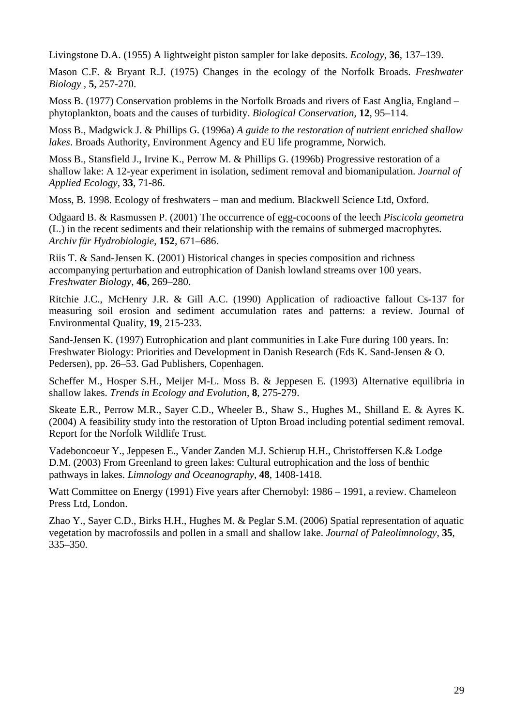Livingstone D.A. (1955) A lightweight piston sampler for lake deposits. *Ecology*, **36**, 137–139.

Mason C.F. & Bryant R.J. (1975) Changes in the ecology of the Norfolk Broads. *Freshwater Biology ,* **5**, 257-270.

Moss B. (1977) Conservation problems in the Norfolk Broads and rivers of East Anglia, England – phytoplankton, boats and the causes of turbidity. *Biological Conservation*, **12**, 95–114.

Moss B., Madgwick J. & Phillips G. (1996a) *A guide to the restoration of nutrient enriched shallow lakes*. Broads Authority, Environment Agency and EU life programme, Norwich.

Moss B., Stansfield J., Irvine K., Perrow M. & Phillips G. (1996b) Progressive restoration of a shallow lake: A 12-year experiment in isolation, sediment removal and biomanipulation. *Journal of Applied Ecology*, **33**, 71-86.

Moss, B. 1998. Ecology of freshwaters – man and medium. Blackwell Science Ltd, Oxford.

Odgaard B. & Rasmussen P. (2001) The occurrence of egg-cocoons of the leech *Piscicola geometra* (L.) in the recent sediments and their relationship with the remains of submerged macrophytes. *Archiv für Hydrobiologie*, **152**, 671–686.

Riis T. & Sand-Jensen K. (2001) Historical changes in species composition and richness accompanying perturbation and eutrophication of Danish lowland streams over 100 years. *Freshwater Biology*, **46**, 269–280.

Ritchie J.C., McHenry J.R. & Gill A.C. (1990) Application of radioactive fallout Cs-137 for measuring soil erosion and sediment accumulation rates and patterns: a review. Journal of Environmental Quality, **19**, 215-233.

Sand-Jensen K. (1997) Eutrophication and plant communities in Lake Fure during 100 years. In: Freshwater Biology: Priorities and Development in Danish Research (Eds K. Sand-Jensen & O. Pedersen), pp. 26–53. Gad Publishers, Copenhagen.

Scheffer M., Hosper S.H., Meijer M-L. Moss B. & Jeppesen E. (1993) Alternative equilibria in shallow lakes. *Trends in Ecology and Evolution*, **8**, 275-279.

Skeate E.R., Perrow M.R., Sayer C.D., Wheeler B., Shaw S., Hughes M., Shilland E. & Ayres K. (2004) A feasibility study into the restoration of Upton Broad including potential sediment removal. Report for the Norfolk Wildlife Trust.

Vadeboncoeur Y., Jeppesen E., Vander Zanden M.J. Schierup H.H., Christoffersen K.& Lodge D.M. (2003) From Greenland to green lakes: Cultural eutrophication and the loss of benthic pathways in lakes. *Limnology and Oceanography*, **48**, 1408-1418.

Watt Committee on Energy (1991) Five years after Chernobyl: 1986 – 1991, a review. Chameleon Press Ltd, London.

Zhao Y., Sayer C.D., Birks H.H., Hughes M. & Peglar S.M. (2006) Spatial representation of aquatic vegetation by macrofossils and pollen in a small and shallow lake. *Journal of Paleolimnology*, **35**, 335–350.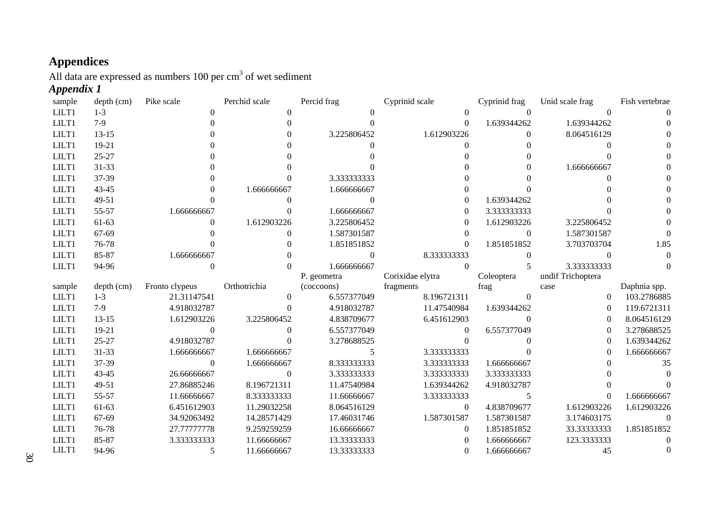## **Appendices**

All data are expressed as numbers 100 per  $cm<sup>3</sup>$  of wet sediment

## *Appendix 1*

<span id="page-29-1"></span><span id="page-29-0"></span>

| sample         | depth (cm) | Pike scale     | Perchid scale    | Percid frag | Cyprinid scale   | Cyprinid frag  | Unid scale frag   | Fish vertebrae |
|----------------|------------|----------------|------------------|-------------|------------------|----------------|-------------------|----------------|
| LILT1          | $1 - 3$    | $\Omega$       | $\theta$         | $\Omega$    | $\Omega$         | $\overline{0}$ | $\Omega$          |                |
| LILT1          | $7-9$      |                |                  |             | 0                | 1.639344262    | 1.639344262       |                |
| LILT1          | $13 - 15$  |                |                  | 3.225806452 | 1.612903226      | $\theta$       | 8.064516129       |                |
| LILT1          | $19-21$    |                |                  |             |                  | 0              |                   |                |
| LILT1          | $25 - 27$  |                |                  |             |                  |                |                   |                |
| LILT1          | 31-33      |                |                  |             |                  |                | 1.666666667       |                |
| LILT1          | 37-39      |                |                  | 3.333333333 |                  |                |                   |                |
| LILT1          | 43-45      |                | 1.666666667      | 1.666666667 |                  |                |                   |                |
| LILT1          | 49-51      |                |                  | $\Omega$    |                  | 1.639344262    |                   |                |
| LILT1          | 55-57      | 1.666666667    |                  | 1.666666667 | $\Omega$         | 3.333333333    |                   |                |
| LILT1          | 61-63      | $\Omega$       | 1.612903226      | 3.225806452 | $\Omega$         | 1.612903226    | 3.225806452       |                |
| LILT1          | 67-69      |                | 0                | 1.587301587 | 0                | $\Omega$       | 1.587301587       |                |
| LILT1          | 76-78      |                |                  | 1.851851852 |                  | 1.851851852    | 3.703703704       | 1.85           |
| LILT1          | 85-87      | 1.666666667    |                  | $\Omega$    | 8.333333333      | $\mathbf{0}$   | $\theta$          |                |
| LILT1          | 94-96      | $\Omega$       |                  | 1.666666667 |                  | 5              | 3.333333333       |                |
|                |            |                |                  |             | Corixidae elytra | Coleoptera     | undif Trichoptera |                |
|                |            |                |                  | P. geometra |                  |                |                   |                |
| sample         | depth (cm) | Fronto clypeus | Orthotrichia     | (coccoons)  | fragments        | frag           | case              | Daphnia spp.   |
| LILT1          | $1 - 3$    | 21.31147541    | $\theta$         | 6.557377049 | 8.196721311      | $\Omega$       | $\theta$          | 103.2786885    |
| LILT1          | $7-9$      | 4.918032787    |                  | 4.918032787 | 11.47540984      | 1.639344262    | $\Omega$          | 119.6721311    |
| LILT1          | $13 - 15$  | 1.612903226    | 3.225806452      | 4.838709677 | 6.451612903      | $\Omega$       | 0                 | 8.064516129    |
| LILT1          | $19-21$    | $\Omega$       |                  | 6.557377049 |                  | 6.557377049    | $\Omega$          | 3.278688525    |
| LILT1          | $25 - 27$  | 4.918032787    |                  | 3.278688525 |                  | $\Omega$       |                   | 1.639344262    |
| LILT1          | 31-33      | 1.666666667    | 1.666666667      | 5           | 3.333333333      |                |                   | 1.666666667    |
| LILT1          | 37-39      | $\Omega$       | 1.666666667      | 8.333333333 | 3.333333333      | 1.666666667    |                   | 35             |
| LILT1          | 43-45      | 26.66666667    | $\boldsymbol{0}$ | 3.333333333 | 3.333333333      | 3.333333333    |                   |                |
| LILT1          | 49-51      | 27.86885246    | 8.196721311      | 11.47540984 | 1.639344262      | 4.918032787    |                   |                |
| LILT1          | 55-57      | 11.66666667    | 8.333333333      | 11.66666667 | 3.333333333      |                |                   | 1.666666667    |
| LILT1          | 61-63      | 6.451612903    | 11.29032258      | 8.064516129 | $\theta$         | 4.838709677    | 1.612903226       | 1.612903226    |
| LILT1          | 67-69      | 34.92063492    | 14.28571429      | 17.46031746 | 1.587301587      | 1.587301587    | 3.174603175       | 0              |
| LILT1          | 76-78      | 27.77777778    | 9.259259259      | 16.66666667 | $\Omega$         | 1.851851852    | 33.33333333       | 1.851851852    |
| LILT1<br>LILT1 | 85-87      | 3.333333333    | 11.66666667      | 13.33333333 |                  | 1.666666667    | 123.3333333       | 0              |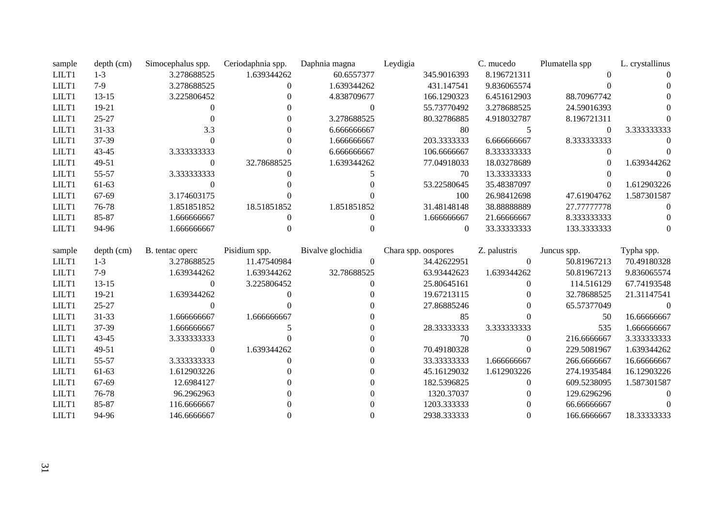| sample | $depth$ (cm) | Simocephalus spp. | Ceriodaphnia spp. | Daphnia magna     | Leydigia            | C. mucedo        | Plumatella spp | L. crystallinus |
|--------|--------------|-------------------|-------------------|-------------------|---------------------|------------------|----------------|-----------------|
| LILT1  | $1-3$        | 3.278688525       | 1.639344262       | 60.6557377        | 345.9016393         | 8.196721311      |                |                 |
| LILT1  | $7-9$        | 3.278688525       | $\Omega$          | 1.639344262       | 431.147541          | 9.836065574      |                |                 |
| LILT1  | $13 - 15$    | 3.225806452       |                   | 4.838709677       | 166.1290323         | 6.451612903      | 88.70967742    |                 |
| LILT1  | 19-21        | $\Omega$          |                   | $\theta$          | 55.73770492         | 3.278688525      | 24.59016393    |                 |
| LILT1  | 25-27        |                   |                   | 3.278688525       | 80.32786885         | 4.918032787      | 8.196721311    |                 |
| LILT1  | 31-33        | 3.3               |                   | 6.666666667       | 80                  | 5                | $\theta$       | 3.333333333     |
| LILT1  | 37-39        | $\Omega$          |                   | 1.666666667       | 203.3333333         | 6.666666667      | 8.333333333    |                 |
| LILT1  | 43-45        | 3.333333333       |                   | 6.666666667       | 106.6666667         | 8.333333333      | 0              |                 |
| LILT1  | 49-51        | $\boldsymbol{0}$  | 32.78688525       | 1.639344262       | 77.04918033         | 18.03278689      | $\Omega$       | 1.639344262     |
| LILT1  | 55-57        | 3.333333333       |                   |                   | 70                  | 13.33333333      | $\Omega$       |                 |
| LILT1  | 61-63        | $\theta$          |                   |                   | 53.22580645         | 35.48387097      | $\Omega$       | 1.612903226     |
| LILT1  | 67-69        | 3.174603175       |                   |                   | 100                 | 26.98412698      | 47.61904762    | 1.587301587     |
| LILT1  | 76-78        | 1.851851852       | 18.51851852       | 1.851851852       | 31.48148148         | 38.88888889      | 27.77777778    | $\Omega$        |
| LILT1  | 85-87        | 1.666666667       | $\Omega$          |                   | 1.666666667         | 21.66666667      | 8.333333333    |                 |
| LILT1  | 94-96        | 1.666666667       | 0                 |                   | $\Omega$            | 33.33333333      | 133.3333333    | $\Omega$        |
|        |              |                   |                   |                   |                     |                  |                |                 |
|        |              |                   |                   |                   |                     |                  |                |                 |
| sample | $depth$ (cm) | B. tentac operc   | Pisidium spp.     | Bivalve glochidia | Chara spp. oospores | Z. palustris     | Juncus spp.    | Typha spp.      |
| LILT1  | $1 - 3$      | 3.278688525       | 11.47540984       | $\theta$          | 34.42622951         | $\Omega$         | 50.81967213    | 70.49180328     |
| LILT1  | $7-9$        | 1.639344262       | 1.639344262       | 32.78688525       | 63.93442623         | 1.639344262      | 50.81967213    | 9.836065574     |
| LILT1  | $13 - 15$    | $\boldsymbol{0}$  | 3.225806452       | $\theta$          | 25.80645161         | $\boldsymbol{0}$ | 114.516129     | 67.74193548     |
| LILT1  | 19-21        | 1.639344262       |                   |                   | 19.67213115         | 0                | 32.78688525    | 21.31147541     |
| LILT1  | $25 - 27$    | $\Omega$          |                   |                   | 27.86885246         | 0                | 65.57377049    | $\Omega$        |
| LILT1  | 31-33        | 1.666666667       | 1.666666667       |                   | 85                  | $\theta$         | 50             | 16.66666667     |
| LILT1  | 37-39        | 1.666666667       |                   |                   | 28.33333333         | 3.333333333      | 535            | 1.666666667     |
| LILT1  | 43-45        | 3.333333333       |                   |                   | 70                  | $\mathbf{0}$     | 216.6666667    | 3.333333333     |
| LILT1  | 49-51        | $\boldsymbol{0}$  | 1.639344262       |                   | 70.49180328         | $\overline{0}$   | 229.5081967    | 1.639344262     |
| LILT1  | 55-57        | 3.333333333       |                   |                   | 33.33333333         | 1.666666667      | 266.6666667    | 16.66666667     |
| LILT1  | 61-63        | 1.612903226       |                   |                   | 45.16129032         | 1.612903226      | 274.1935484    | 16.12903226     |
| LILT1  | 67-69        | 12.6984127        |                   |                   | 182.5396825         | $\theta$         | 609.5238095    | 1.587301587     |
| LILT1  | 76-78        | 96.2962963        |                   |                   | 1320.37037          | 0                | 129.6296296    | $\Omega$        |

LILT1 94-96 146.6666667 0 0 2938.333333 0 166.6666667 18.33333333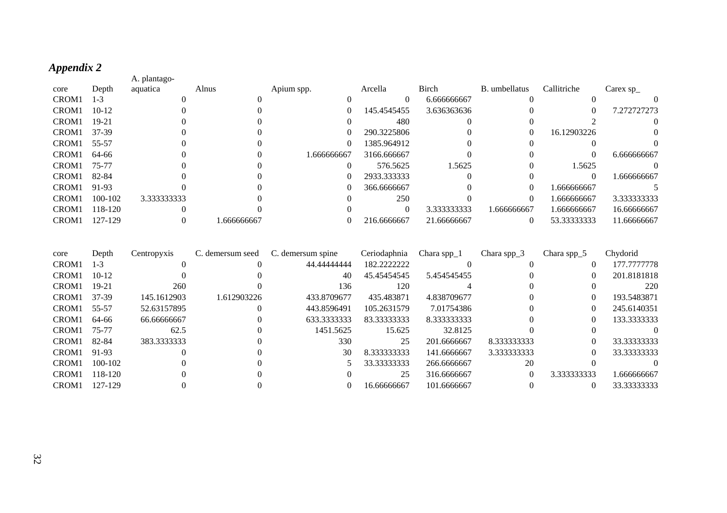## *Appendix 2*

| Appendix 2 |              |            |             |             |             |               |             |                |
|------------|--------------|------------|-------------|-------------|-------------|---------------|-------------|----------------|
|            | A. plantago- |            |             |             |             |               |             |                |
| Depth      | aquatica     | Alnus      | Apium spp.  | Arcella     | Birch       | B. umbellatus | Callitriche | Carex $sp_{-}$ |
| $1-3$      |              |            |             | $\theta$    | 6.666666667 |               |             |                |
| $10-12$    |              |            | $\theta$    | 145.4545455 | 3.636363636 |               | $\theta$    | 7.272727273    |
| $19 - 21$  |              |            |             | 480         |             |               |             |                |
| 37-39      |              |            | $\theta$    | 290.3225806 |             | 0             | 16.12903226 | 0              |
| 55-57      |              |            | $\left($    | 1385.964912 |             |               |             |                |
| 64-66      |              |            | 1.666666667 | 3166.666667 |             |               | $\Omega$    | 6.666666667    |
| 75-77      |              |            | $\Omega$    | 576.5625    | 1.5625      |               | 1.5625      |                |
| 82-84      |              |            | $\left($    | 2933.333333 |             |               | $\Omega$    | 1.666666667    |
| 91-93      |              |            | 0           | 366.6666667 |             |               | 1.666666667 |                |
| 100-102    | 3.333333333  |            |             | 250         |             | 0             | 1.666666667 | 3.333333333    |
| 118-120    |              |            |             | $\Omega$    | 3.333333333 | 1.666666667   | 1.666666667 | 16.66666667    |
| 127-129    |              | .666666667 | $\theta$    | 216.6666667 | 21.66666667 | 0             | 53.33333333 | 11.66666667    |
|            |              |            |             |             |             |               |             |                |

<span id="page-31-0"></span>

| core              | Depth       | Centropyxis | C. demersum seed | C. demersum spine | Ceriodaphnia | Chara spp $_1$ | Chara spp $_3$ | Chara spp $\_5$ | Chydorid    |
|-------------------|-------------|-------------|------------------|-------------------|--------------|----------------|----------------|-----------------|-------------|
| CROM <sub>1</sub> | $1 - 3$     |             |                  | 44.44444444       | 182.2222222  |                |                |                 | 177,7777778 |
| CROM <sub>1</sub> | $10-12$     |             |                  | 40                | 45.45454545  | 5.454545455    |                | $\theta$        | 201.8181818 |
| CROM <sub>1</sub> | $19-21$     | 260         |                  | 136               | 120          |                |                |                 | 220         |
| CROM <sub>1</sub> | 37-39       | 145.1612903 | 1.612903226      | 433.8709677       | 435.483871   | 4.838709677    |                |                 | 193.5483871 |
| CROM <sub>1</sub> | 55-57       | 52.63157895 |                  | 443.8596491       | 105.2631579  | 7.01754386     |                |                 | 245.6140351 |
| CROM <sub>1</sub> | 64-66       | 66.66666667 |                  | 633.3333333       | 83.33333333  | 8.333333333    |                |                 | 133.3333333 |
| CROM <sub>1</sub> | 75-77       | 62.5        |                  | 1451.5625         | 15.625       | 32.8125        |                |                 |             |
| CROM <sub>1</sub> | 82-84       | 383.3333333 |                  | 330               | 25           | 201.6666667    | 8.333333333    |                 | 33.33333333 |
| CROM <sub>1</sub> | 91-93       |             |                  | 30                | 8.333333333  | 141.6666667    | 3.333333333    |                 | 33.33333333 |
| CROM <sub>1</sub> | $100 - 102$ |             |                  |                   | 33.33333333  | 266.6666667    | 20             |                 |             |
| CROM <sub>1</sub> | 118-120     |             |                  |                   | 25           | 316.6666667    | $\Omega$       | 3.333333333     | 1.666666667 |
| CROM <sub>1</sub> | 127-129     |             |                  |                   | 16.66666667  | 101.6666667    |                |                 | 33.33333333 |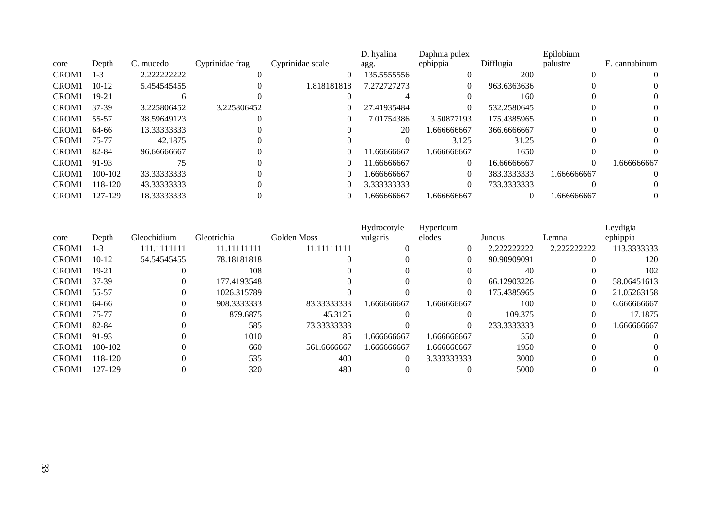|                   |           |             |                 |                  | D. hyalina  | Daphnia pulex |             | Epilobium   |                |
|-------------------|-----------|-------------|-----------------|------------------|-------------|---------------|-------------|-------------|----------------|
| core              | Depth     | C. mucedo   | Cyprinidae frag | Cyprinidae scale | agg.        | ephippia      | Difflugia   | palustre    | E. cannabinum  |
| CROM <sub>1</sub> | $1-3$     | 2.222222222 |                 | $\theta$         | 135.5555556 |               | <b>200</b>  |             | $\Omega$       |
| CROM <sub>1</sub> | $10-12$   | 5.454545455 |                 | 1.818181818      | 7.272727273 |               | 963.6363636 |             | O.             |
| CROM <sub>1</sub> | $19 - 21$ |             |                 |                  |             |               | 160         |             | $\Omega$       |
| CROM <sub>1</sub> | 37-39     | 3.225806452 | 3.225806452     |                  | 27.41935484 |               | 532.2580645 |             | $\Omega$       |
| CROM <sub>1</sub> | 55-57     | 38.59649123 |                 |                  | 7.01754386  | 3.50877193    | 175.4385965 |             | $\Omega$       |
| CROM <sub>1</sub> | 64-66     | 13.33333333 |                 |                  | 20          | 1.666666667   | 366.6666667 |             | $\Omega$       |
| CROM <sub>1</sub> | 75-77     | 42.1875     |                 |                  |             | 3.125         | 31.25       |             | 0              |
| CROM <sub>1</sub> | 82-84     | 96.66666667 |                 |                  | 1.66666667  | 1.666666667   | 1650        |             |                |
| CROM <sub>1</sub> | 91-93     | 75          |                 | $\theta$         | 11.66666667 | $\Omega$      | 16.66666667 | $\theta$    | 1.666666667    |
| CROM <sub>1</sub> | 100-102   | 33.33333333 |                 |                  | .666666667  |               | 383.3333333 | 1.666666667 | $\Omega$       |
| CROM <sub>1</sub> | 118-120   | 43.33333333 |                 |                  | 3.333333333 |               | 733.3333333 |             | $\Omega$       |
| CROM <sub>1</sub> | 127-129   | 18.33333333 |                 |                  | .666666667  | 1.666666667   |             | 1.666666667 | $\overline{0}$ |

|                   |             |              |             |              | Hydrocotyle | Hypericum   |             |             | Leydigia    |
|-------------------|-------------|--------------|-------------|--------------|-------------|-------------|-------------|-------------|-------------|
| core              | Depth       | Gleochidium  | Gleotrichia | Golden Moss  | vulgaris    | elodes      | Juncus      | Lemna       | ephippia    |
| CROM <sub>1</sub> | $1-3$       | 111.11111111 | 11.11111111 | 11.111111111 |             |             | 2.222222222 | 2.222222222 | 113.3333333 |
| CROM <sub>1</sub> | $10-12$     | 54.54545455  | 78.18181818 |              |             | $\Omega$    | 90.90909091 |             | 120         |
| CROM <sub>1</sub> | $19-21$     |              | 108         |              |             |             | 40          |             | 102         |
| CROM <sub>1</sub> | 37-39       |              | 177.4193548 |              |             | 0           | 66.12903226 | $\Omega$    | 58.06451613 |
| CROM <sub>1</sub> | 55-57       | $\theta$     | 1026.315789 |              |             |             | 175.4385965 | $\theta$    | 21.05263158 |
| CROM <sub>1</sub> | 64-66       |              | 908.3333333 | 83.33333333  | .666666667  | 1.666666667 | 100         | $\Omega$    | 6.666666667 |
| CROM <sub>1</sub> | 75-77       |              | 879.6875    | 45.3125      |             |             | 109.375     |             | 17.1875     |
| CROM <sub>1</sub> | 82-84       |              | 585         | 73.33333333  |             |             | 233.3333333 | 0           | .666666667  |
| CROM <sub>1</sub> | 91-93       |              | 1010        | 85           | .666666667  | 1.666666667 | 550         |             | $\theta$    |
| CROM <sub>1</sub> | $100 - 102$ |              | 660         | 561.6666667  | 1.666666667 | 1.666666667 | 1950        |             | $\Omega$    |
| CROM <sub>1</sub> | 118-120     |              | 535         | 400          | $\Omega$    | 3.333333333 | 3000        |             | $\Omega$    |
| CROM <sub>1</sub> | 127-129     |              | 320         | 480          |             |             | 5000        |             | 0           |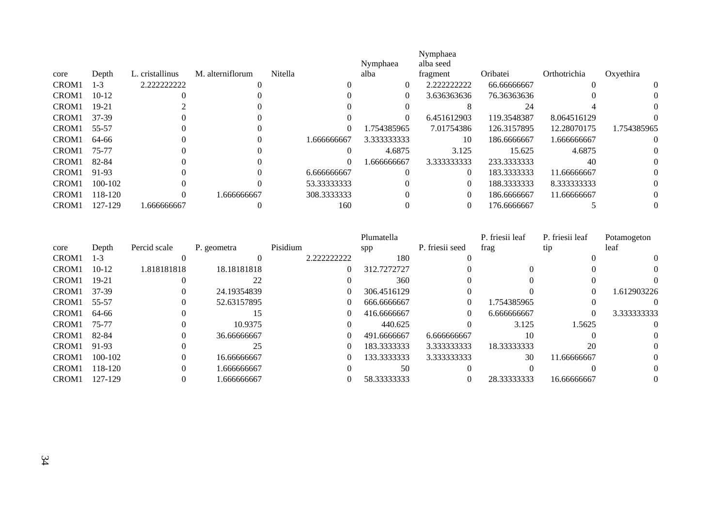|                   |           |                 |                  |         |              | Nymphaea    | Nymphaea<br>alba seed |             |              |             |
|-------------------|-----------|-----------------|------------------|---------|--------------|-------------|-----------------------|-------------|--------------|-------------|
| core              | Depth     | L. cristallinus | M. alterniflorum | Nitella |              | alba        | fragment              | Oribatei    | Orthotrichia | Oxyethira   |
| CROM <sub>1</sub> | $1 - 3$   | 2.222222222     |                  |         |              | $\theta$    | 2.222222222           | 66.66666667 |              | $\Omega$    |
| CROM <sub>1</sub> | $10-12$   |                 |                  |         |              | $\theta$    | 3.636363636           | 76.36363636 |              |             |
| CROM <sub>1</sub> | $19 - 21$ |                 |                  |         |              |             |                       | 24          |              |             |
| CROM <sub>1</sub> | 37-39     |                 |                  |         |              | $\theta$    | 6.451612903           | 119.3548387 | 8.064516129  |             |
| CROM <sub>1</sub> | 55-57     |                 |                  |         | $\Omega$     | 1.754385965 | 7.01754386            | 126.3157895 | 12.28070175  | 1.754385965 |
| CROM <sub>1</sub> | 64-66     |                 |                  |         | 1.666666667  | 3.333333333 | 10                    | 186.6666667 | 1.666666667  | $\Omega$    |
| CROM <sub>1</sub> | 75-77     |                 |                  |         |              | 4.6875      | 3.125                 | 15.625      | 4.6875       |             |
| CROM <sub>1</sub> | 82-84     |                 |                  |         | 0            | .666666667  | 3.333333333           | 233.3333333 | 40           | $\Omega$    |
| CROM <sub>1</sub> | 91-93     |                 |                  |         | 6.666666667  |             | $\Omega$              | 183.3333333 | 11.66666667  | 0           |
| CROM <sub>1</sub> | 100-102   |                 |                  |         | 53.33333333  |             | $\theta$              | 188.3333333 | 8.333333333  | 0           |
| CROM <sub>1</sub> | 118-120   |                 | .666666667       |         | 308.33333333 |             | $\Omega$              | 186.6666667 | 11.66666667  |             |
| CROM <sub>1</sub> | 127-129   | .666666667      |                  |         | 160          |             | $\theta$              | 176.6666667 |              |             |

|                   |             |              |             |             |          | Plumatella  |                 | P. friesii leaf | P. friesii leaf | Potamogeton    |
|-------------------|-------------|--------------|-------------|-------------|----------|-------------|-----------------|-----------------|-----------------|----------------|
| core              | Depth       | Percid scale | P. geometra | Pisidium    |          | spp         | P. friesii seed | frag            | tip             | leaf           |
| CROM <sub>1</sub> | $1-3$       |              |             | 2.222222222 |          | 180         |                 |                 |                 | $\Omega$       |
| CROM <sub>1</sub> | $10-12$     | 1.818181818  | 18.18181818 |             | $\theta$ | 312.7272727 |                 |                 |                 | $\theta$       |
| CROM <sub>1</sub> | $19-21$     |              | 22          |             |          | 360         |                 |                 |                 | $\Omega$       |
| CROM <sub>1</sub> | 37-39       |              | 24.19354839 |             | $\theta$ | 306.4516129 |                 |                 | 0               | 1.612903226    |
| CROM <sub>1</sub> | 55-57       |              | 52.63157895 |             | $\Omega$ | 666.6666667 | 0               | 1.754385965     |                 |                |
| CROM <sub>1</sub> | 64-66       |              | 15          |             | $\theta$ | 416.6666667 |                 | 6.666666667     | $\Omega$        | 3.333333333    |
| CROM <sub>1</sub> | 75-77       |              | 10.9375     |             | $\Omega$ | 440.625     |                 | 3.125           | 1.5625          | $\Omega$       |
| CROM <sub>1</sub> | 82-84       |              | 36.66666667 |             | $\theta$ | 491.6666667 | 6.666666667     | 10              |                 | $\Omega$       |
| CROM <sub>1</sub> | 91-93       |              | 25          |             | $\theta$ | 183.3333333 | 3.333333333     | 18.33333333     | 20              | $\theta$       |
| CROM <sub>1</sub> | $100 - 102$ |              | 16.66666667 |             | $\theta$ | 133.3333333 | 3.333333333     | 30              | 11.66666667     | $\overline{0}$ |
| CROM <sub>1</sub> | 118-120     |              | 1.666666667 |             |          | 50          |                 |                 |                 | $\theta$       |
| CROM <sub>1</sub> | 127-129     |              | .666666667  |             |          | 58.33333333 |                 | 28.33333333     | 16.66666667     | 0              |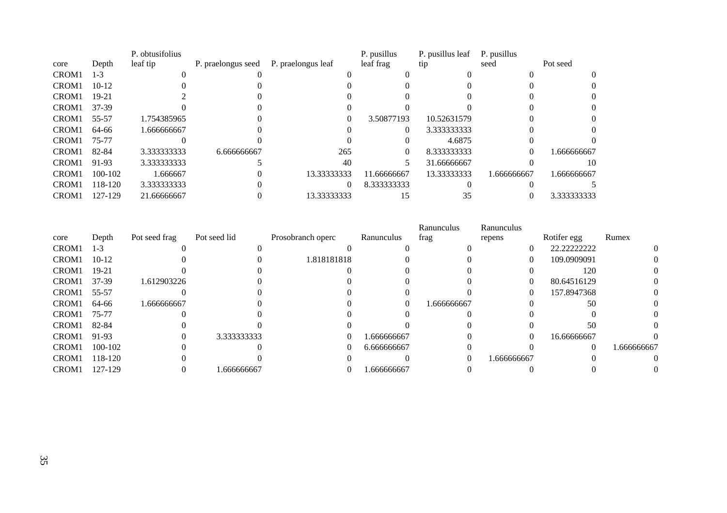|                   |             | P. obtusifolius |                    |                    | P. pusillus | P. pusillus leaf | P. pusillus |             |
|-------------------|-------------|-----------------|--------------------|--------------------|-------------|------------------|-------------|-------------|
| core              | Depth       | leaf tip        | P. praelongus seed | P. praelongus leaf | leaf frag   | tip              | seed        | Pot seed    |
| CROM <sub>1</sub> | $1 - 3$     |                 |                    |                    |             |                  |             | $\Omega$    |
| CROM <sub>1</sub> | $10 - 12$   |                 |                    |                    |             |                  |             |             |
| CROM <sub>1</sub> | $19 - 21$   |                 |                    |                    |             |                  |             | $\Omega$    |
| CROM <sub>1</sub> | 37-39       |                 |                    |                    |             |                  |             |             |
| CROM <sub>1</sub> | 55-57       | 1.754385965     |                    |                    | 3.50877193  | 10.52631579      |             | $\Omega$    |
| CROM <sub>1</sub> | 64-66       | 1.666666667     |                    |                    | $\Omega$    | 3.333333333      |             |             |
| CROM <sub>1</sub> | 75-77       |                 |                    |                    |             | 4.6875           |             |             |
| CROM <sub>1</sub> | 82-84       | 3.333333333     | 6.666666667        | 265                | 0           | 8.333333333      |             | 1.666666667 |
| CROM <sub>1</sub> | 91-93       | 3.333333333     |                    | 40                 | 5.          | 31.66666667      |             | 10          |
| CROM <sub>1</sub> | $100 - 102$ | 1.666667        |                    | 13.33333333        | 11.66666667 | 13.33333333      | 1.666666667 | 1.666666667 |
| CROM <sub>1</sub> | 118-120     | 3.333333333     |                    |                    | 8.333333333 |                  |             |             |
| CROM <sub>1</sub> | 127-129     | 21.66666667     |                    | 13.33333333        |             |                  |             | 3.333333333 |

|                   |         |               |              |                   |             | Ranunculus | Ranunculus  |             |             |
|-------------------|---------|---------------|--------------|-------------------|-------------|------------|-------------|-------------|-------------|
| core              | Depth   | Pot seed frag | Pot seed lid | Prosobranch operc | Ranunculus  | frag       | repens      | Rotifer egg | Rumex       |
| CROM1             | $1 - 3$ |               |              |                   |             |            |             | 22.22222222 | 0           |
| CROM <sub>1</sub> | $10-12$ |               |              | 1.818181818       |             |            |             | 109.0909091 |             |
| CROM <sub>1</sub> | $19-21$ |               |              |                   |             |            |             | 120         |             |
| CROM <sub>1</sub> | 37-39   | 1.612903226   |              |                   |             |            | $^{(1)}$    | 80.64516129 |             |
| CROM <sub>1</sub> | 55-57   |               |              |                   |             |            |             | 157.8947368 |             |
| CROM1             | 64-66   | 1.666666667   |              |                   |             | .666666667 |             | 50          |             |
| CROM <sub>1</sub> | 75-77   |               |              |                   |             |            |             |             |             |
| CROM <sub>1</sub> | 82-84   |               |              |                   |             |            |             | 50          |             |
| CROM <sub>1</sub> | 91-93   |               | 3.333333333  |                   | 1.666666667 |            |             | 16.66666667 |             |
| CROM <sub>1</sub> | 100-102 |               |              |                   | 6.666666667 |            |             | $\theta$    | 1.666666667 |
| CROM <sub>1</sub> | 118-120 |               |              |                   |             |            | 1.666666667 |             |             |
| CROM <sub>1</sub> | 127-129 |               | .666666667   |                   | 1.666666667 |            |             |             |             |
|                   |         |               |              |                   |             |            |             |             |             |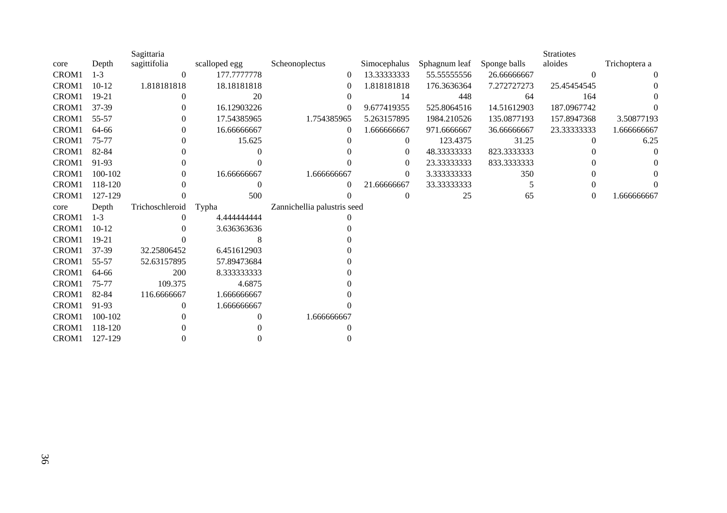|       |         | Sagittaria      |               |                             |                |               |              | <b>Stratiotes</b> |               |
|-------|---------|-----------------|---------------|-----------------------------|----------------|---------------|--------------|-------------------|---------------|
| core  | Depth   | sagittifolia    | scalloped egg | Scheonoplectus              | Simocephalus   | Sphagnum leaf | Sponge balls | aloides           | Trichoptera a |
| CROM1 | $1 - 3$ | $\theta$        | 177.7777778   | $\theta$                    | 13.33333333    | 55.55555556   | 26.66666667  | $\theta$          | $\left($      |
| CROM1 | $10-12$ | 1.818181818     | 18.18181818   | 0                           | 1.818181818    | 176.3636364   | 7.272727273  | 25.45454545       | $\theta$      |
| CROM1 | 19-21   | $\Omega$        | 20            | $\theta$                    | 14             | 448           | 64           | 164               |               |
| CROM1 | 37-39   | 0               | 16.12903226   | $\theta$                    | 9.677419355    | 525.8064516   | 14.51612903  | 187.0967742       |               |
| CROM1 | 55-57   | 0               | 17.54385965   | 1.754385965                 | 5.263157895    | 1984.210526   | 135.0877193  | 157.8947368       | 3.50877193    |
| CROM1 | 64-66   | 0               | 16.66666667   | $\theta$                    | 1.666666667    | 971.6666667   | 36.66666667  | 23.33333333       | 1.666666667   |
| CROM1 | 75-77   | $\Omega$        | 15.625        |                             | $\overline{0}$ | 123.4375      | 31.25        | $\Omega$          | 6.25          |
| CROM1 | 82-84   | $\Omega$        |               |                             | $\theta$       | 48.33333333   | 823.3333333  |                   | $\Omega$      |
| CROM1 | 91-93   |                 |               |                             | $\theta$       | 23.33333333   | 833.3333333  |                   |               |
| CROM1 | 100-102 | $\theta$        | 16.66666667   | 1.666666667                 | $\theta$       | 3.333333333   | 350          |                   |               |
| CROM1 | 118-120 |                 | $\Omega$      | $\Omega$                    | 21.66666667    | 33.33333333   | 5            |                   |               |
| CROM1 | 127-129 |                 | 500           |                             | $\Omega$       | 25            | 65           | $\theta$          | 1.666666667   |
| core  | Depth   | Trichoschleroid | Typha         | Zannichellia palustris seed |                |               |              |                   |               |
| CROM1 | $1 - 3$ |                 | 4.444444444   |                             |                |               |              |                   |               |
| CROM1 | $10-12$ |                 | 3.636363636   |                             |                |               |              |                   |               |
| CROM1 | 19-21   |                 | 8             |                             |                |               |              |                   |               |
| CROM1 | 37-39   | 32.25806452     | 6.451612903   |                             |                |               |              |                   |               |
| CROM1 | 55-57   | 52.63157895     | 57.89473684   |                             |                |               |              |                   |               |
| CROM1 | 64-66   | 200             | 8.333333333   |                             |                |               |              |                   |               |
| CROM1 | 75-77   | 109.375         | 4.6875        |                             |                |               |              |                   |               |
| CROM1 | 82-84   | 116.6666667     | 1.666666667   |                             |                |               |              |                   |               |
| CROM1 | 91-93   | $\Omega$        | 1.666666667   |                             |                |               |              |                   |               |
| CROM1 | 100-102 |                 |               | 1.666666667                 |                |               |              |                   |               |
| CROM1 | 118-120 |                 |               |                             |                |               |              |                   |               |
| CROM1 | 127-129 |                 |               |                             |                |               |              |                   |               |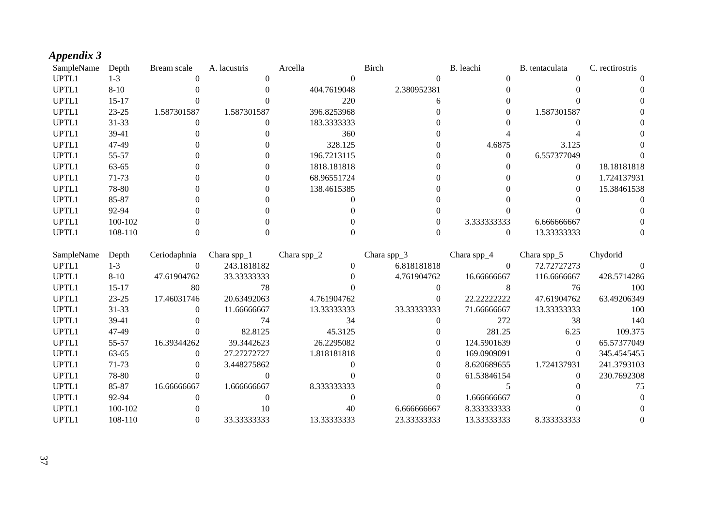## *Appendix 3*

| SampleName | Depth     | Bream scale | A. lacustris | Arcella     | Birch       | B. leachi   | B. tentaculata | C. rectirostris |
|------------|-----------|-------------|--------------|-------------|-------------|-------------|----------------|-----------------|
| UPTL1      | $1-3$     |             |              |             |             |             |                |                 |
| UPTL1      | $8-10$    |             |              | 404.7619048 | 2.380952381 |             |                |                 |
| UPTL1      | $15 - 17$ |             |              | 220         |             |             |                |                 |
| UPTL1      | 23-25     | 1.587301587 | 1.587301587  | 396.8253968 |             |             | 1.587301587    |                 |
| UPTL1      | 31-33     |             |              | 183.3333333 |             |             |                |                 |
| UPTL1      | 39-41     |             |              | 360         |             |             |                |                 |
| UPTL1      | 47-49     |             |              | 328.125     |             | 4.6875      | 3.125          |                 |
| UPTL1      | 55-57     |             |              | 196.7213115 |             |             | 6.557377049    |                 |
| UPTL1      | 63-65     |             |              | 1818.181818 |             |             | 0              | 18.18181818     |
| UPTL1      | 71-73     |             |              | 68.96551724 |             |             |                | 1.724137931     |
| UPTL1      | 78-80     |             |              | 138.4615385 |             |             |                | 15.38461538     |
| UPTL1      | 85-87     |             |              |             |             |             |                |                 |
| UPTL1      | 92-94     |             |              |             |             |             |                |                 |
| UPTL1      | 100-102   |             |              |             |             | 3.333333333 | 6.666666667    |                 |
| UPTL1      | 108-110   |             |              |             |             |             | 13.33333333    |                 |

<span id="page-36-0"></span>

| SampleName | Depth     | Ceriodaphnia | Chara spp $_1$ | Chara spp $_2$ | Chara spp $_3$ | Chara spp $_4$ | Chara spp $_5$ | Chydorid    |
|------------|-----------|--------------|----------------|----------------|----------------|----------------|----------------|-------------|
| UPTL1      | 1-3       | $\Omega$     | 243.1818182    |                | 6.818181818    |                | 72.72727273    |             |
| UPTL1      | $8 - 10$  | 47.61904762  | 33.33333333    |                | 4.761904762    | 16.66666667    | 116.6666667    | 428.5714286 |
| UPTL1      | $15-17$   | 80           | 78             |                |                |                | 76             | 100         |
| UPTL1      | $23 - 25$ | 17.46031746  | 20.63492063    | 4.761904762    |                | 22.22222222    | 47.61904762    | 63.49206349 |
| UPTL1      | 31-33     | $\Omega$     | 11.66666667    | 13.33333333    | 33.33333333    | 71.66666667    | 13.33333333    | 100         |
| UPTL1      | 39-41     |              | 74             | 34             |                | 272            | 38             | 140         |
| UPTL1      | 47-49     |              | 82.8125        | 45.3125        |                | 281.25         | 6.25           | 109.375     |
| UPTL1      | 55-57     | 16.39344262  | 39.3442623     | 26.2295082     |                | 124.5901639    | $\Omega$       | 65.57377049 |
| UPTL1      | 63-65     | $\Omega$     | 27.27272727    | 1.818181818    | 0              | 169.0909091    | 0              | 345.4545455 |
| UPTL1      | 71-73     |              | 3.448275862    |                |                | 8.620689655    | 1.724137931    | 241.3793103 |
| UPTL1      | 78-80     |              |                |                |                | 61.53846154    | $\Omega$       | 230.7692308 |
| UPTL1      | 85-87     | 16.66666667  | 1.666666667    | 8.333333333    |                |                |                | 75          |
| UPTL1      | 92-94     |              |                |                |                | 1.666666667    |                |             |
| UPTL1      | 100-102   |              | 10             | 40             | 6.666666667    | 8.333333333    |                |             |
| UPTL1      | 108-110   |              | 33.33333333    | 13.33333333    | 23.33333333    | 13.33333333    | 8.333333333    |             |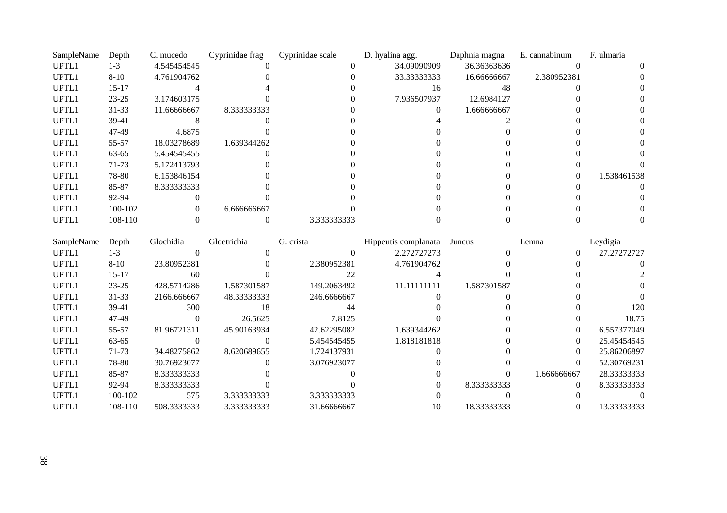| SampleName | Depth     | C. mucedo   | Cyprinidae frag | Cyprinidae scale | D. hyalina agg. | Daphnia magna | E. cannabinum | F. ulmaria  |
|------------|-----------|-------------|-----------------|------------------|-----------------|---------------|---------------|-------------|
| UPTL1      | $1-3$     | 4.545454545 |                 |                  | 34.09090909     | 36.36363636   |               |             |
| UPTL1      | $8 - 10$  | 4.761904762 |                 |                  | 33.33333333     | 16.66666667   | 2.380952381   |             |
| UPTL1      | $15-17$   |             |                 |                  | 16              | 48            |               |             |
| UPTL1      | $23 - 25$ | 3.174603175 |                 |                  | 7.936507937     | 12.6984127    |               |             |
| UPTL1      | $31 - 33$ | 11.66666667 | 8.333333333     |                  |                 | 1.666666667   |               |             |
| UPTL1      | 39-41     |             |                 |                  |                 |               |               |             |
| UPTL1      | 47-49     | 4.6875      |                 |                  |                 |               |               |             |
| UPTL1      | 55-57     | 18.03278689 | 1.639344262     |                  |                 |               |               |             |
| UPTL1      | $63 - 65$ | 5.454545455 |                 |                  |                 |               |               |             |
| UPTL1      | 71-73     | 5.172413793 |                 |                  |                 |               |               |             |
| UPTL1      | 78-80     | 6.153846154 |                 |                  |                 |               |               | 1.538461538 |
| UPTL1      | 85-87     | 8.333333333 |                 |                  |                 |               |               |             |
| UPTL1      | 92-94     |             |                 |                  |                 |               |               |             |
| UPTL1      | 100-102   |             | 6.666666667     |                  |                 |               |               |             |
| UPTL1      | 108-110   |             |                 | 3.333333333      |                 |               |               |             |

| SampleName | Depth     | Glochidia   | Gloetrichia  | G. crista   | Hippeutis complanata | Juncus      | Lemna       | Leydigia    |
|------------|-----------|-------------|--------------|-------------|----------------------|-------------|-------------|-------------|
| UPTL1      | $1-3$     |             |              |             | 2.272727273          |             | 0           | 27.27272727 |
| UPTL1      | $8 - 10$  | 23.80952381 |              | 2.380952381 | 4.761904762          |             |             |             |
| UPTL1      | $15-17$   | 60          |              | 22          |                      |             |             |             |
| UPTL1      | $23 - 25$ | 428.5714286 | 1.587301587  | 149.2063492 | 11.111111111         | 1.587301587 |             |             |
| UPTL1      | $31 - 33$ | 2166.666667 | 48.333333333 | 246.6666667 |                      |             |             |             |
| UPTL1      | 39-41     | 300         | 18           | 44          |                      |             |             | 120         |
| UPTL1      | 47-49     |             | 26.5625      | 7.8125      |                      |             |             | 18.75       |
| UPTL1      | 55-57     | 81.96721311 | 45.90163934  | 42.62295082 | 1.639344262          |             | 0           | 6.557377049 |
| UPTL1      | 63-65     |             |              | 5.454545455 | 1.818181818          |             | $\Omega$    | 25.45454545 |
| UPTL1      | 71-73     | 34.48275862 | 8.620689655  | 1.724137931 |                      |             | 0           | 25.86206897 |
| UPTL1      | 78-80     | 30.76923077 |              | 3.076923077 |                      |             | $\Omega$    | 52.30769231 |
| UPTL1      | 85-87     | 8.333333333 |              |             |                      |             | 1.666666667 | 28.33333333 |
| UPTL1      | 92-94     | 8.333333333 |              |             |                      | 8.333333333 | 0           | 8.333333333 |
| UPTL1      | 100-102   | 575         | 3.333333333  | 3.333333333 |                      |             |             |             |
| UPTL1      | 108-110   | 508.3333333 | 3.333333333  | 31.66666667 | 10                   | 18.33333333 |             | 13.33333333 |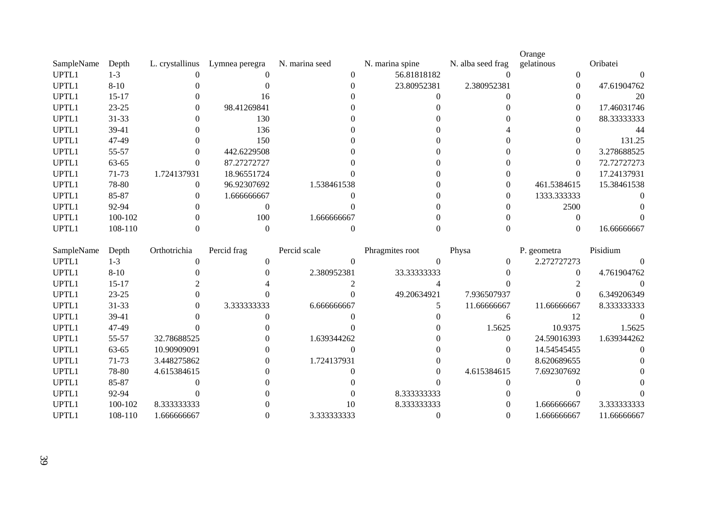|            |           |                 |                |                |                 |                   | Orange      |             |
|------------|-----------|-----------------|----------------|----------------|-----------------|-------------------|-------------|-------------|
| SampleName | Depth     | L. crystallinus | Lymnea peregra | N. marina seed | N. marina spine | N. alba seed frag | gelatinous  | Oribatei    |
| UPTL1      | 1-3       |                 |                |                | 56.81818182     |                   |             |             |
| UPTL1      | $8 - 10$  |                 |                |                | 23.80952381     | 2.380952381       |             | 47.61904762 |
| UPTL1      | $15 - 17$ |                 | 16             |                |                 |                   |             | 20          |
| UPTL1      | $23 - 25$ |                 | 98.41269841    |                |                 |                   | $^{(1)}$    | 17.46031746 |
| UPTL1      | $31 - 33$ |                 | 130            |                |                 |                   | $^{(1)}$    | 88.33333333 |
| UPTL1      | 39-41     |                 | 136            |                |                 |                   |             | 44          |
| UPTL1      | 47-49     |                 | 150            |                |                 |                   |             | 131.25      |
| UPTL1      | 55-57     |                 | 442.6229508    |                |                 |                   | 0           | 3.278688525 |
| UPTL1      | 63-65     |                 | 87.27272727    |                |                 |                   | $\theta$    | 72.72727273 |
| UPTL1      | 71-73     | 1.724137931     | 18.96551724    |                |                 |                   | $\Omega$    | 17.24137931 |
| UPTL1      | 78-80     | 0               | 96.92307692    | 1.538461538    |                 |                   | 461.5384615 | 15.38461538 |
| UPTL1      | 85-87     |                 | 1.666666667    |                |                 |                   | 1333.333333 |             |
| UPTL1      | 92-94     |                 |                |                |                 |                   | 2500        |             |
| UPTL1      | 100-102   |                 | 100            | 1.666666667    |                 |                   |             |             |
| UPTL1      | 108-110   |                 |                |                |                 |                   |             | 16.66666667 |

| SampleName | Depth     | Orthotrichia | Percid frag | Percid scale | Phragmites root | Physa       | P. geometra | Pisidium    |
|------------|-----------|--------------|-------------|--------------|-----------------|-------------|-------------|-------------|
| UPTL1      | $1-3$     |              |             |              |                 |             | 2.272727273 |             |
| UPTL1      | $8 - 10$  |              |             | 2.380952381  | 33.33333333     |             |             | 4.761904762 |
| UPTL1      | $15-17$   |              |             |              |                 |             |             |             |
| UPTL1      | $23 - 25$ |              |             |              | 49.20634921     | 7.936507937 |             | 6.349206349 |
| UPTL1      | 31-33     |              | 3.333333333 | 6.666666667  |                 | 11.66666667 | 11.66666667 | 8.333333333 |
| UPTL1      | 39-41     |              |             |              |                 |             |             |             |
| UPTL1      | 47-49     |              |             |              |                 | 1.5625      | 10.9375     | 1.5625      |
| UPTL1      | 55-57     | 32.78688525  |             | 1.639344262  |                 |             | 24.59016393 | 1.639344262 |
| UPTL1      | 63-65     | 10.90909091  |             |              |                 |             | 14.54545455 | $\Omega$    |
| UPTL1      | 71-73     | 3.448275862  |             | 1.724137931  |                 |             | 8.620689655 |             |
| UPTL1      | 78-80     | 4.615384615  |             |              |                 | 4.615384615 | 7.692307692 |             |
| UPTL1      | 85-87     |              |             |              |                 |             |             |             |
| UPTL1      | 92-94     |              |             |              | 8.333333333     |             |             |             |
| UPTL1      | 100-102   | 8.333333333  |             | 10           | 8.333333333     |             | 1.666666667 | 3.333333333 |
| UPTL1      | 108-110   | 1.666666667  |             | 3.333333333  |                 |             | 1.666666667 | 11.66666667 |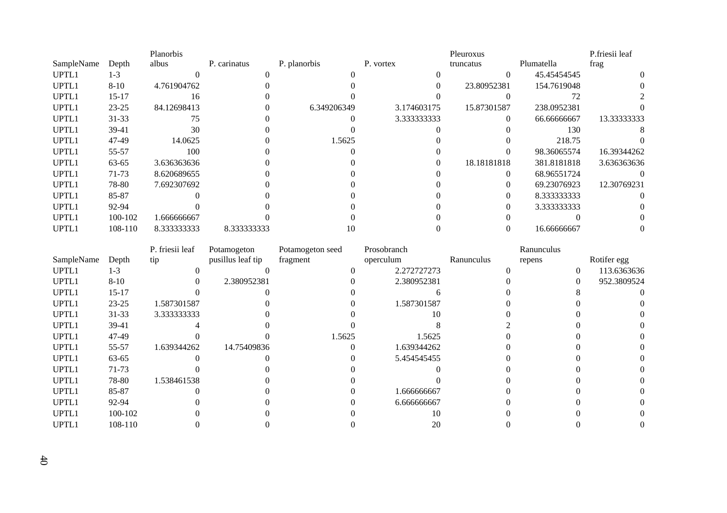|            |           | Planorbis   |              |              |             | Pleuroxus   |             | P.friesii leaf |
|------------|-----------|-------------|--------------|--------------|-------------|-------------|-------------|----------------|
| SampleName | Depth     | albus       | P. carinatus | P. planorbis | P. vortex   | truncatus   | Plumatella  | frag           |
| UPTL1      | $1-3$     |             |              |              |             | $\Omega$    | 45.45454545 | $\Omega$       |
| UPTL1      | $8-10$    | 4.761904762 |              |              |             | 23.80952381 | 154.7619048 |                |
| UPTL1      | $15-17$   | 16          |              |              |             |             |             |                |
| UPTL1      | $23 - 25$ | 84.12698413 |              | 6.349206349  | 3.174603175 | 15.87301587 | 238.0952381 |                |
| UPTL1      | $31 - 33$ | 75          |              |              | 3.333333333 | $\left($    | 66.66666667 | 13.33333333    |
| UPTL1      | 39-41     | 30          |              |              |             |             | 130         |                |
| UPTL1      | 47-49     | 14.0625     |              | 1.5625       |             |             | 218.75      |                |
| UPTL1      | 55-57     | 100         |              |              |             |             | 98.36065574 | 16.39344262    |
| UPTL1      | 63-65     | 3.636363636 |              |              | 0           | 18.18181818 | 381.8181818 | 3.636363636    |
| UPTL1      | 71-73     | 8.620689655 |              |              |             | $\Omega$    | 68.96551724 |                |
| UPTL1      | 78-80     | 7.692307692 |              |              |             |             | 69.23076923 | 12.30769231    |
| UPTL1      | 85-87     |             |              |              |             | $\Omega$    | 8.333333333 |                |
| UPTL1      | 92-94     |             |              |              |             | $\Omega$    | 3.333333333 |                |
| UPTL1      | 100-102   | 1.666666667 |              |              |             |             |             |                |
| UPTL1      | 108-110   | 8.333333333 | 8.333333333  |              |             |             | 16.66666667 |                |

|            |           | P. friesii leaf | Potamogeton       | Potamogeton seed | Prosobranch |            | Ranunculus |             |
|------------|-----------|-----------------|-------------------|------------------|-------------|------------|------------|-------------|
| SampleName | Depth     | tip             | pusillus leaf tip | fragment         | operculum   | Ranunculus | repens     | Rotifer egg |
| UPTL1      | $1-3$     |                 |                   |                  | 2.272727273 |            | $\theta$   | 113.6363636 |
| UPTL1      | $8-10$    |                 | 2.380952381       |                  | 2.380952381 |            |            | 952.3809524 |
| UPTL1      | $15-17$   |                 |                   |                  |             |            |            |             |
| UPTL1      | $23 - 25$ | 1.587301587     |                   |                  | 1.587301587 |            |            |             |
| UPTL1      | $31 - 33$ | 3.333333333     |                   |                  | 10          |            |            |             |
| UPTL1      | 39-41     |                 |                   |                  |             |            |            |             |
| UPTL1      | 47-49     |                 |                   | 1.5625           | 1.5625      |            |            |             |
| UPTL1      | 55-57     | 1.639344262     | 14.75409836       |                  | 1.639344262 |            |            |             |
| UPTL1      | 63-65     |                 |                   |                  | 5.454545455 |            |            |             |
| UPTL1      | 71-73     |                 |                   |                  |             |            |            |             |
| UPTL1      | 78-80     | 1.538461538     |                   |                  |             |            |            |             |
| UPTL1      | 85-87     |                 |                   |                  | 1.666666667 |            |            |             |
| UPTL1      | 92-94     |                 |                   |                  | 6.666666667 |            |            |             |
| UPTL1      | 100-102   |                 |                   |                  | 10          |            |            |             |
| UPTL1      | 108-110   |                 |                   |                  | 20          |            |            |             |